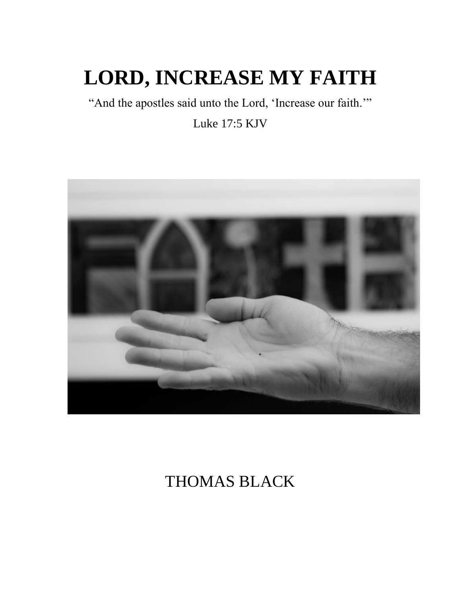# **LORD, INCREASE MY FAITH**

"And the apostles said unto the Lord, 'Increase our faith."

Luke 17:5 KJV



## THOMAS BLACK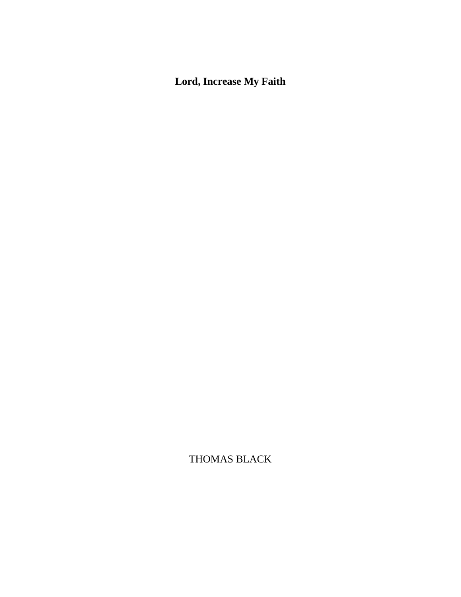## **Lord, Increase My Faith**

THOMAS BLACK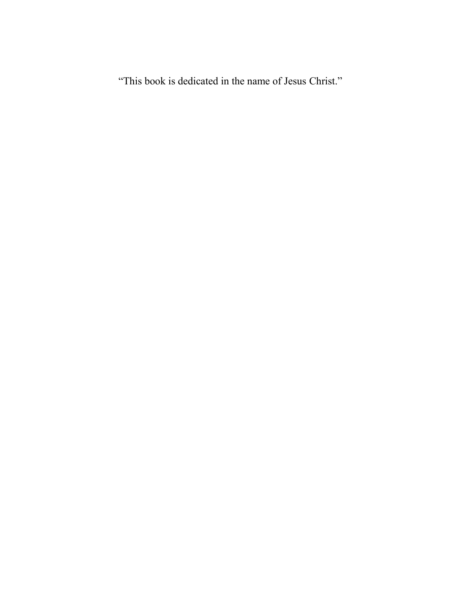"This book is dedicated in the name of Jesus Christ."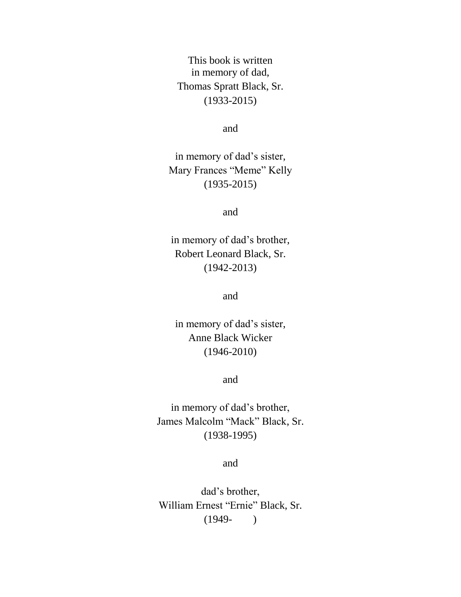This book is written in memory of dad, Thomas Spratt Black, Sr. (1933-2015)

and

in memory of dad's sister, Mary Frances "Meme" Kelly (1935-2015)

and

in memory of dad's brother, Robert Leonard Black, Sr. (1942-2013)

and

in memory of dad's sister, Anne Black Wicker (1946-2010)

and

in memory of dad's brother, James Malcolm "Mack" Black, Sr. (1938-1995)

and

dad's brother, William Ernest "Ernie" Black, Sr.  $(1949-)$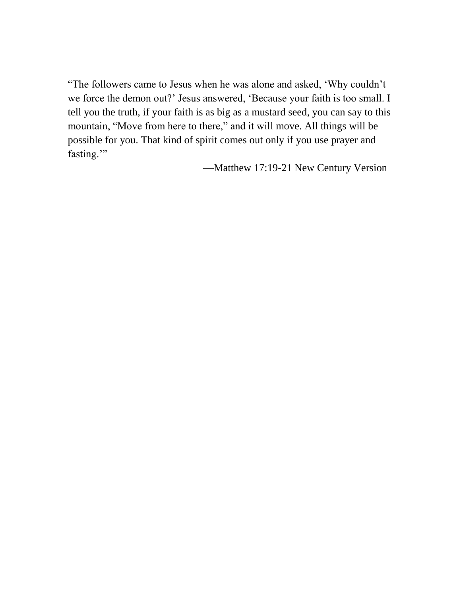"The followers came to Jesus when he was alone and asked, 'Why couldn't we force the demon out?' Jesus answered, 'Because your faith is too small. I tell you the truth, if your faith is as big as a mustard seed, you can say to this mountain, "Move from here to there," and it will move. All things will be possible for you. That kind of spirit comes out only if you use prayer and fasting."

—Matthew 17:19-21 New Century Version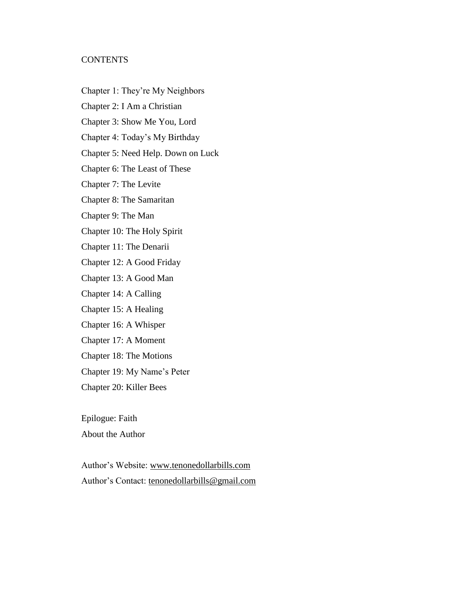#### **CONTENTS**

- Chapter 1: They're My Neighbors
- Chapter 2: I Am a Christian
- Chapter 3: Show Me You, Lord
- Chapter 4: Today's My Birthday
- Chapter 5: Need Help. Down on Luck
- Chapter 6: The Least of These
- Chapter 7: The Levite
- Chapter 8: The Samaritan
- Chapter 9: The Man
- Chapter 10: The Holy Spirit
- Chapter 11: The Denarii
- Chapter 12: A Good Friday
- Chapter 13: A Good Man
- Chapter 14: A Calling
- Chapter 15: A Healing
- Chapter 16: A Whisper
- Chapter 17: A Moment
- Chapter 18: The Motions
- Chapter 19: My Name's Peter
- Chapter 20: Killer Bees

Epilogue: Faith

About the Author

Author's Website: [www.tenonedollarbills.com](http://www.tenonedollarbills.com/) Author's Contact: [tenonedollarbills@gmail.com](mailto:tenonedollarbills@gmail.com)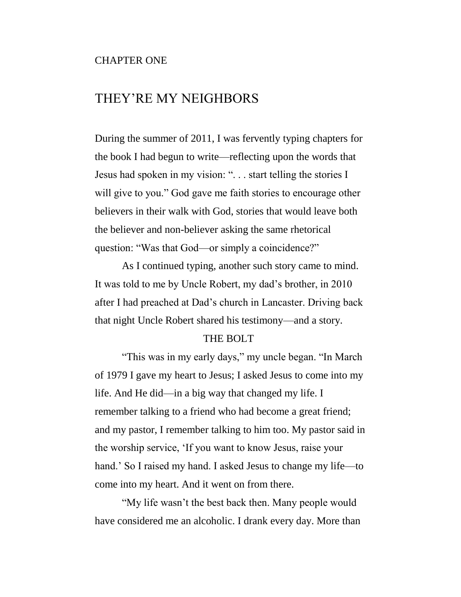#### CHAPTER ONE

## THEY'RE MY NEIGHBORS

During the summer of 2011, I was fervently typing chapters for the book I had begun to write—reflecting upon the words that Jesus had spoken in my vision: ". . . start telling the stories I will give to you." God gave me faith stories to encourage other believers in their walk with God, stories that would leave both the believer and non-believer asking the same rhetorical question: "Was that God—or simply a coincidence?"

As I continued typing, another such story came to mind. It was told to me by Uncle Robert, my dad's brother, in 2010 after I had preached at Dad's church in Lancaster. Driving back that night Uncle Robert shared his testimony—and a story.

#### THE BOLT

"This was in my early days," my uncle began. "In March of 1979 I gave my heart to Jesus; I asked Jesus to come into my life. And He did—in a big way that changed my life. I remember talking to a friend who had become a great friend; and my pastor, I remember talking to him too. My pastor said in the worship service, 'If you want to know Jesus, raise your hand.' So I raised my hand. I asked Jesus to change my life—to come into my heart. And it went on from there.

"My life wasn't the best back then. Many people would have considered me an alcoholic. I drank every day. More than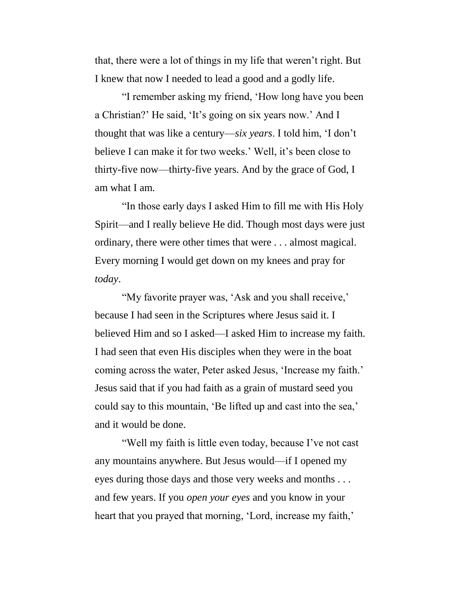that, there were a lot of things in my life that weren't right. But I knew that now I needed to lead a good and a godly life.

"I remember asking my friend, 'How long have you been a Christian?' He said, 'It's going on six years now.' And I thought that was like a century—*six years*. I told him, 'I don't believe I can make it for two weeks.' Well, it's been close to thirty-five now—thirty-five years. And by the grace of God, I am what I am.

"In those early days I asked Him to fill me with His Holy Spirit—and I really believe He did. Though most days were just ordinary, there were other times that were . . . almost magical. Every morning I would get down on my knees and pray for *today*.

"My favorite prayer was, 'Ask and you shall receive,' because I had seen in the Scriptures where Jesus said it. I believed Him and so I asked—I asked Him to increase my faith. I had seen that even His disciples when they were in the boat coming across the water, Peter asked Jesus, 'Increase my faith.' Jesus said that if you had faith as a grain of mustard seed you could say to this mountain, 'Be lifted up and cast into the sea,' and it would be done.

"Well my faith is little even today, because I've not cast any mountains anywhere. But Jesus would—if I opened my eyes during those days and those very weeks and months . . . and few years. If you *open your eyes* and you know in your heart that you prayed that morning, 'Lord, increase my faith,'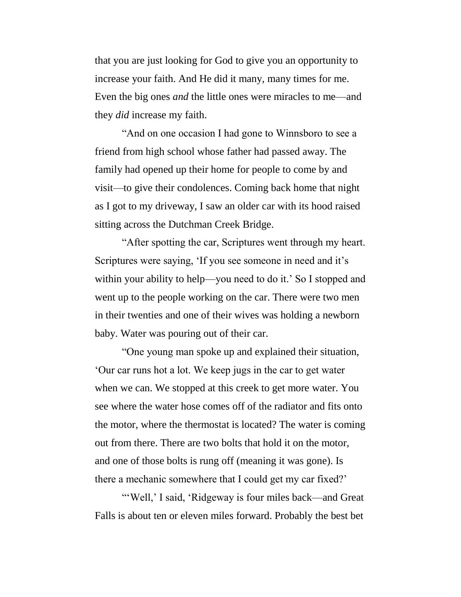that you are just looking for God to give you an opportunity to increase your faith. And He did it many, many times for me. Even the big ones *and* the little ones were miracles to me—and they *did* increase my faith.

"And on one occasion I had gone to Winnsboro to see a friend from high school whose father had passed away. The family had opened up their home for people to come by and visit—to give their condolences. Coming back home that night as I got to my driveway, I saw an older car with its hood raised sitting across the Dutchman Creek Bridge.

"After spotting the car, Scriptures went through my heart. Scriptures were saying, 'If you see someone in need and it's within your ability to help—you need to do it.' So I stopped and went up to the people working on the car. There were two men in their twenties and one of their wives was holding a newborn baby. Water was pouring out of their car.

"One young man spoke up and explained their situation, 'Our car runs hot a lot. We keep jugs in the car to get water when we can. We stopped at this creek to get more water. You see where the water hose comes off of the radiator and fits onto the motor, where the thermostat is located? The water is coming out from there. There are two bolts that hold it on the motor, and one of those bolts is rung off (meaning it was gone). Is there a mechanic somewhere that I could get my car fixed?'

"'Well,' I said, 'Ridgeway is four miles back—and Great Falls is about ten or eleven miles forward. Probably the best bet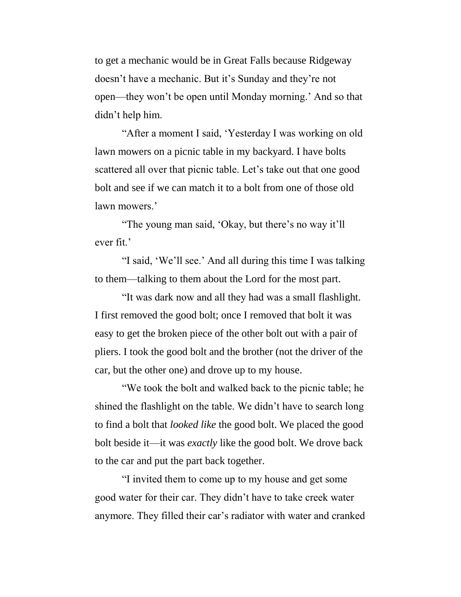to get a mechanic would be in Great Falls because Ridgeway doesn't have a mechanic. But it's Sunday and they're not open—they won't be open until Monday morning.' And so that didn't help him.

"After a moment I said, 'Yesterday I was working on old lawn mowers on a picnic table in my backyard. I have bolts scattered all over that picnic table. Let's take out that one good bolt and see if we can match it to a bolt from one of those old lawn mowers.'

"The young man said, 'Okay, but there's no way it'll ever fit.'

"I said, 'We'll see.' And all during this time I was talking to them—talking to them about the Lord for the most part.

"It was dark now and all they had was a small flashlight. I first removed the good bolt; once I removed that bolt it was easy to get the broken piece of the other bolt out with a pair of pliers. I took the good bolt and the brother (not the driver of the car, but the other one) and drove up to my house.

"We took the bolt and walked back to the picnic table; he shined the flashlight on the table. We didn't have to search long to find a bolt that *looked like* the good bolt. We placed the good bolt beside it—it was *exactly* like the good bolt. We drove back to the car and put the part back together.

"I invited them to come up to my house and get some good water for their car. They didn't have to take creek water anymore. They filled their car's radiator with water and cranked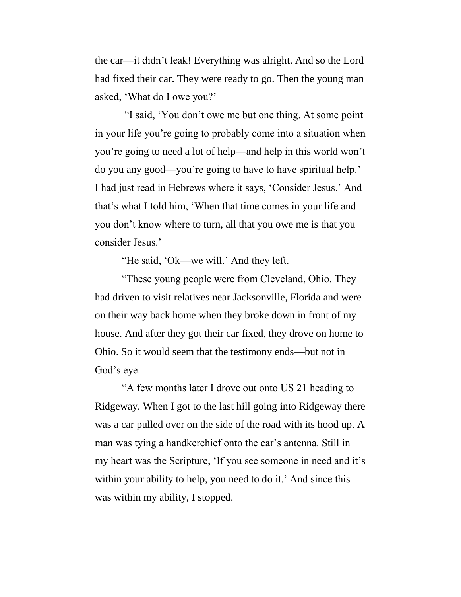the car—it didn't leak! Everything was alright. And so the Lord had fixed their car. They were ready to go. Then the young man asked, 'What do I owe you?'

"I said, 'You don't owe me but one thing. At some point in your life you're going to probably come into a situation when you're going to need a lot of help—and help in this world won't do you any good—you're going to have to have spiritual help.' I had just read in Hebrews where it says, 'Consider Jesus.' And that's what I told him, 'When that time comes in your life and you don't know where to turn, all that you owe me is that you consider Jesus.'

"He said, 'Ok—we will.' And they left.

"These young people were from Cleveland, Ohio. They had driven to visit relatives near Jacksonville, Florida and were on their way back home when they broke down in front of my house. And after they got their car fixed, they drove on home to Ohio. So it would seem that the testimony ends—but not in God's eye.

"A few months later I drove out onto US 21 heading to Ridgeway. When I got to the last hill going into Ridgeway there was a car pulled over on the side of the road with its hood up. A man was tying a handkerchief onto the car's antenna. Still in my heart was the Scripture, 'If you see someone in need and it's within your ability to help, you need to do it.' And since this was within my ability, I stopped.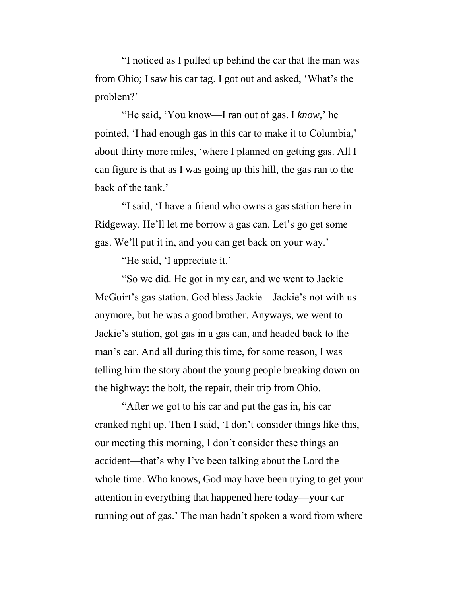"I noticed as I pulled up behind the car that the man was from Ohio; I saw his car tag. I got out and asked, 'What's the problem?'

"He said, 'You know—I ran out of gas. I *know*,' he pointed, 'I had enough gas in this car to make it to Columbia,' about thirty more miles, 'where I planned on getting gas. All I can figure is that as I was going up this hill, the gas ran to the back of the tank.'

"I said, 'I have a friend who owns a gas station here in Ridgeway. He'll let me borrow a gas can. Let's go get some gas. We'll put it in, and you can get back on your way.'

"He said, 'I appreciate it.'

"So we did. He got in my car, and we went to Jackie McGuirt's gas station. God bless Jackie—Jackie's not with us anymore, but he was a good brother. Anyways, we went to Jackie's station, got gas in a gas can, and headed back to the man's car. And all during this time, for some reason, I was telling him the story about the young people breaking down on the highway: the bolt, the repair, their trip from Ohio.

"After we got to his car and put the gas in, his car cranked right up. Then I said, 'I don't consider things like this, our meeting this morning, I don't consider these things an accident—that's why I've been talking about the Lord the whole time. Who knows, God may have been trying to get your attention in everything that happened here today—your car running out of gas.' The man hadn't spoken a word from where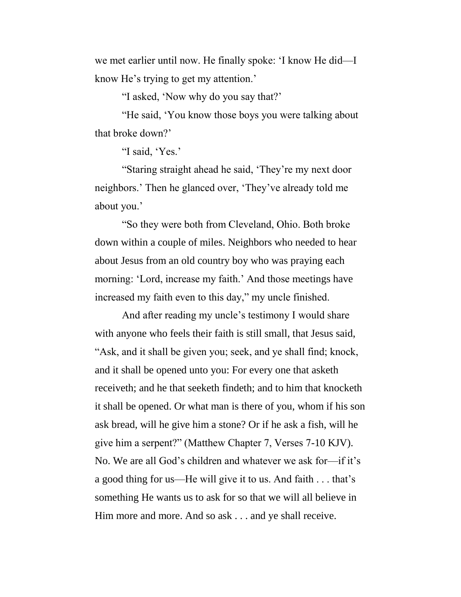we met earlier until now. He finally spoke: 'I know He did—I know He's trying to get my attention.'

"I asked, 'Now why do you say that?'

"He said, 'You know those boys you were talking about that broke down?'

"I said, 'Yes.'

"Staring straight ahead he said, 'They're my next door neighbors.' Then he glanced over, 'They've already told me about you.'

"So they were both from Cleveland, Ohio. Both broke down within a couple of miles. Neighbors who needed to hear about Jesus from an old country boy who was praying each morning: 'Lord, increase my faith.' And those meetings have increased my faith even to this day," my uncle finished.

And after reading my uncle's testimony I would share with anyone who feels their faith is still small, that Jesus said, "Ask, and it shall be given you; seek, and ye shall find; knock, and it shall be opened unto you: For every one that asketh receiveth; and he that seeketh findeth; and to him that knocketh it shall be opened. Or what man is there of you, whom if his son ask bread, will he give him a stone? Or if he ask a fish, will he give him a serpent?" (Matthew Chapter 7, Verses 7-10 KJV). No. We are all God's children and whatever we ask for—if it's a good thing for us—He will give it to us. And faith . . . that's something He wants us to ask for so that we will all believe in Him more and more. And so ask . . . and ye shall receive.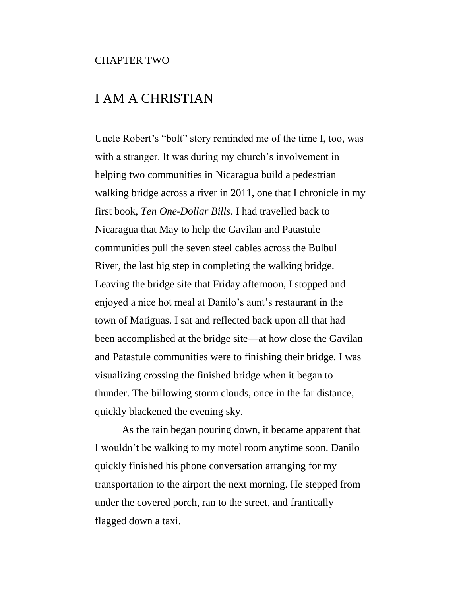#### CHAPTER TWO

## I AM A CHRISTIAN

Uncle Robert's "bolt" story reminded me of the time I, too, was with a stranger. It was during my church's involvement in helping two communities in Nicaragua build a pedestrian walking bridge across a river in 2011, one that I chronicle in my first book, *Ten One-Dollar Bills*. I had travelled back to Nicaragua that May to help the Gavilan and Patastule communities pull the seven steel cables across the Bulbul River, the last big step in completing the walking bridge. Leaving the bridge site that Friday afternoon, I stopped and enjoyed a nice hot meal at Danilo's aunt's restaurant in the town of Matiguas. I sat and reflected back upon all that had been accomplished at the bridge site—at how close the Gavilan and Patastule communities were to finishing their bridge. I was visualizing crossing the finished bridge when it began to thunder. The billowing storm clouds, once in the far distance, quickly blackened the evening sky.

As the rain began pouring down, it became apparent that I wouldn't be walking to my motel room anytime soon. Danilo quickly finished his phone conversation arranging for my transportation to the airport the next morning. He stepped from under the covered porch, ran to the street, and frantically flagged down a taxi.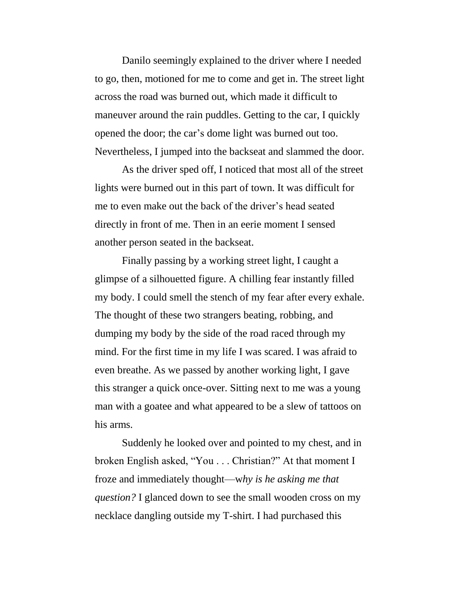Danilo seemingly explained to the driver where I needed to go, then, motioned for me to come and get in. The street light across the road was burned out, which made it difficult to maneuver around the rain puddles. Getting to the car, I quickly opened the door; the car's dome light was burned out too. Nevertheless, I jumped into the backseat and slammed the door.

As the driver sped off, I noticed that most all of the street lights were burned out in this part of town. It was difficult for me to even make out the back of the driver's head seated directly in front of me. Then in an eerie moment I sensed another person seated in the backseat.

Finally passing by a working street light, I caught a glimpse of a silhouetted figure. A chilling fear instantly filled my body. I could smell the stench of my fear after every exhale. The thought of these two strangers beating, robbing, and dumping my body by the side of the road raced through my mind. For the first time in my life I was scared. I was afraid to even breathe. As we passed by another working light, I gave this stranger a quick once-over. Sitting next to me was a young man with a goatee and what appeared to be a slew of tattoos on his arms.

Suddenly he looked over and pointed to my chest, and in broken English asked, "You . . . Christian?" At that moment I froze and immediately thought—w*hy is he asking me that question?* I glanced down to see the small wooden cross on my necklace dangling outside my T-shirt. I had purchased this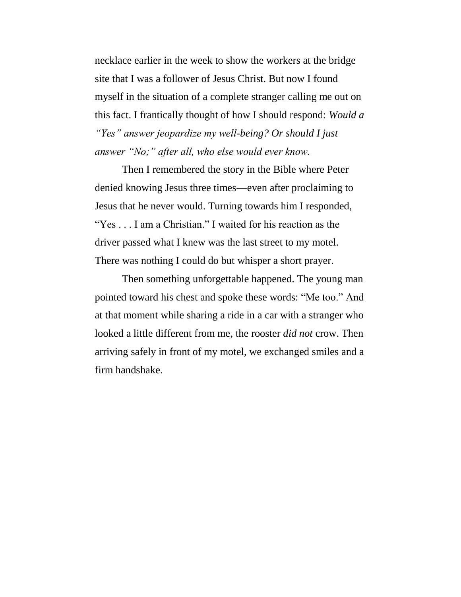necklace earlier in the week to show the workers at the bridge site that I was a follower of Jesus Christ. But now I found myself in the situation of a complete stranger calling me out on this fact. I frantically thought of how I should respond: *Would a "Yes" answer jeopardize my well-being? Or should I just answer "No;" after all, who else would ever know.*

Then I remembered the story in the Bible where Peter denied knowing Jesus three times—even after proclaiming to Jesus that he never would. Turning towards him I responded, "Yes . . . I am a Christian." I waited for his reaction as the driver passed what I knew was the last street to my motel. There was nothing I could do but whisper a short prayer.

Then something unforgettable happened. The young man pointed toward his chest and spoke these words: "Me too." And at that moment while sharing a ride in a car with a stranger who looked a little different from me, the rooster *did not* crow. Then arriving safely in front of my motel, we exchanged smiles and a firm handshake.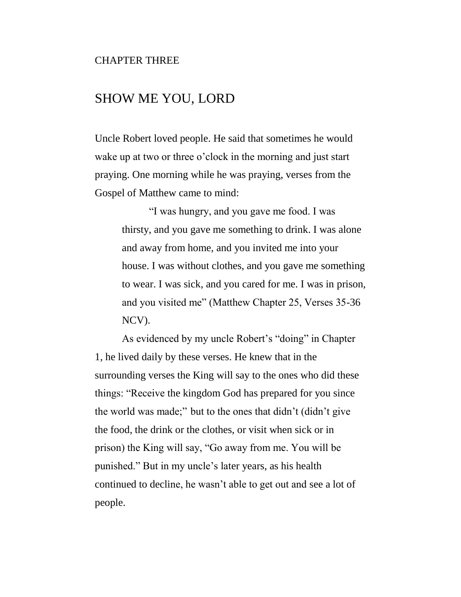#### CHAPTER THREE

### SHOW ME YOU, LORD

Uncle Robert loved people. He said that sometimes he would wake up at two or three o'clock in the morning and just start praying. One morning while he was praying, verses from the Gospel of Matthew came to mind:

> "I was hungry, and you gave me food. I was thirsty, and you gave me something to drink. I was alone and away from home, and you invited me into your house. I was without clothes, and you gave me something to wear. I was sick, and you cared for me. I was in prison, and you visited me" (Matthew Chapter 25, Verses 35-36 NCV).

As evidenced by my uncle Robert's "doing" in Chapter 1, he lived daily by these verses. He knew that in the surrounding verses the King will say to the ones who did these things: "Receive the kingdom God has prepared for you since the world was made;" but to the ones that didn't (didn't give the food, the drink or the clothes, or visit when sick or in prison) the King will say, "Go away from me. You will be punished." But in my uncle's later years, as his health continued to decline, he wasn't able to get out and see a lot of people.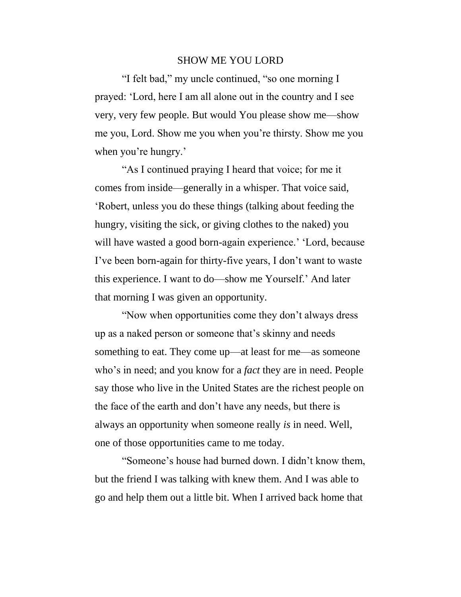#### SHOW ME YOU LORD

"I felt bad," my uncle continued, "so one morning I prayed: 'Lord, here I am all alone out in the country and I see very, very few people. But would You please show me—show me you, Lord. Show me you when you're thirsty. Show me you when you're hungry.'

"As I continued praying I heard that voice; for me it comes from inside—generally in a whisper. That voice said, 'Robert, unless you do these things (talking about feeding the hungry, visiting the sick, or giving clothes to the naked) you will have wasted a good born-again experience.' 'Lord, because I've been born-again for thirty-five years, I don't want to waste this experience. I want to do—show me Yourself.' And later that morning I was given an opportunity.

"Now when opportunities come they don't always dress up as a naked person or someone that's skinny and needs something to eat. They come up—at least for me—as someone who's in need; and you know for a *fact* they are in need. People say those who live in the United States are the richest people on the face of the earth and don't have any needs, but there is always an opportunity when someone really *is* in need. Well, one of those opportunities came to me today.

"Someone's house had burned down. I didn't know them, but the friend I was talking with knew them. And I was able to go and help them out a little bit. When I arrived back home that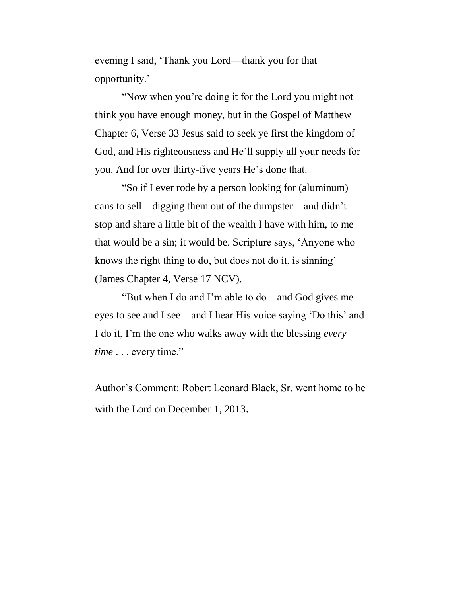evening I said, 'Thank you Lord—thank you for that opportunity.'

"Now when you're doing it for the Lord you might not think you have enough money, but in the Gospel of Matthew Chapter 6, Verse 33 Jesus said to seek ye first the kingdom of God, and His righteousness and He'll supply all your needs for you. And for over thirty-five years He's done that.

"So if I ever rode by a person looking for (aluminum) cans to sell—digging them out of the dumpster—and didn't stop and share a little bit of the wealth I have with him, to me that would be a sin; it would be. Scripture says, 'Anyone who knows the right thing to do, but does not do it, is sinning' (James Chapter 4, Verse 17 NCV).

"But when I do and I'm able to do—and God gives me eyes to see and I see—and I hear His voice saying 'Do this' and I do it, I'm the one who walks away with the blessing *every time* . . . every time."

Author's Comment: Robert Leonard Black, Sr. went home to be with the Lord on December 1, 2013.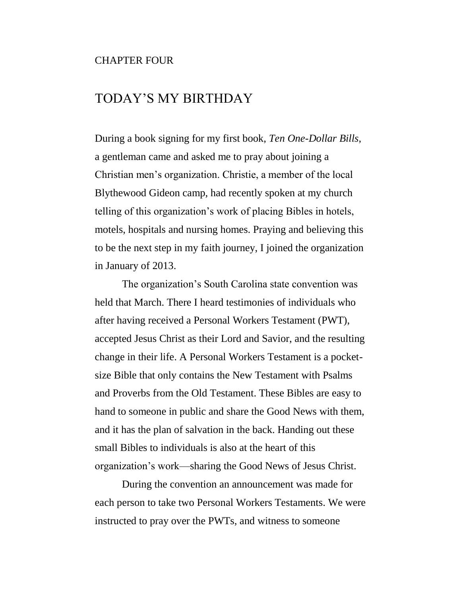#### CHAPTER FOUR

## TODAY'S MY BIRTHDAY

During a book signing for my first book, *Ten One-Dollar Bills*, a gentleman came and asked me to pray about joining a Christian men's organization. Christie, a member of the local Blythewood Gideon camp, had recently spoken at my church telling of this organization's work of placing Bibles in hotels, motels, hospitals and nursing homes. Praying and believing this to be the next step in my faith journey, I joined the organization in January of 2013.

The organization's South Carolina state convention was held that March. There I heard testimonies of individuals who after having received a Personal Workers Testament (PWT), accepted Jesus Christ as their Lord and Savior, and the resulting change in their life. A Personal Workers Testament is a pocketsize Bible that only contains the New Testament with Psalms and Proverbs from the Old Testament. These Bibles are easy to hand to someone in public and share the Good News with them, and it has the plan of salvation in the back. Handing out these small Bibles to individuals is also at the heart of this organization's work—sharing the Good News of Jesus Christ.

During the convention an announcement was made for each person to take two Personal Workers Testaments. We were instructed to pray over the PWTs, and witness to someone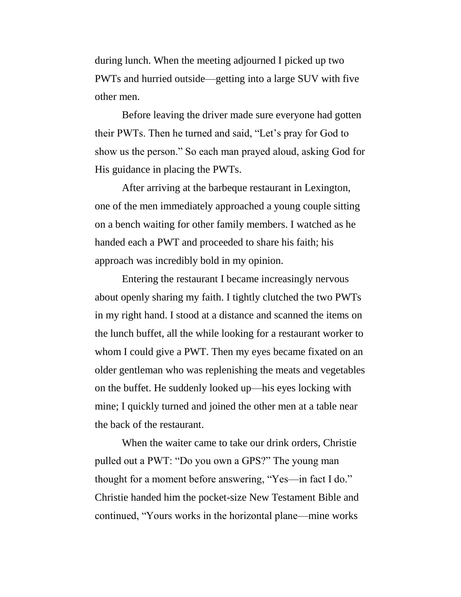during lunch. When the meeting adjourned I picked up two PWTs and hurried outside—getting into a large SUV with five other men.

Before leaving the driver made sure everyone had gotten their PWTs. Then he turned and said, "Let's pray for God to show us the person." So each man prayed aloud, asking God for His guidance in placing the PWTs.

After arriving at the barbeque restaurant in Lexington, one of the men immediately approached a young couple sitting on a bench waiting for other family members. I watched as he handed each a PWT and proceeded to share his faith; his approach was incredibly bold in my opinion.

Entering the restaurant I became increasingly nervous about openly sharing my faith. I tightly clutched the two PWTs in my right hand. I stood at a distance and scanned the items on the lunch buffet, all the while looking for a restaurant worker to whom I could give a PWT. Then my eyes became fixated on an older gentleman who was replenishing the meats and vegetables on the buffet. He suddenly looked up—his eyes locking with mine; I quickly turned and joined the other men at a table near the back of the restaurant.

When the waiter came to take our drink orders, Christie pulled out a PWT: "Do you own a GPS?" The young man thought for a moment before answering, "Yes—in fact I do." Christie handed him the pocket-size New Testament Bible and continued, "Yours works in the horizontal plane—mine works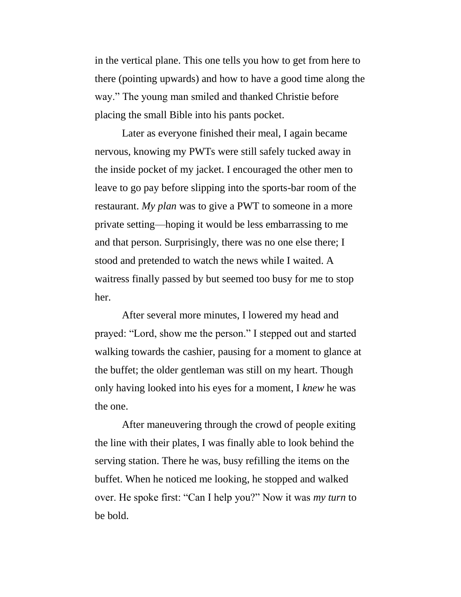in the vertical plane. This one tells you how to get from here to there (pointing upwards) and how to have a good time along the way." The young man smiled and thanked Christie before placing the small Bible into his pants pocket.

Later as everyone finished their meal, I again became nervous, knowing my PWTs were still safely tucked away in the inside pocket of my jacket. I encouraged the other men to leave to go pay before slipping into the sports-bar room of the restaurant. *My plan* was to give a PWT to someone in a more private setting—hoping it would be less embarrassing to me and that person. Surprisingly, there was no one else there; I stood and pretended to watch the news while I waited. A waitress finally passed by but seemed too busy for me to stop her.

After several more minutes, I lowered my head and prayed: "Lord, show me the person." I stepped out and started walking towards the cashier, pausing for a moment to glance at the buffet; the older gentleman was still on my heart. Though only having looked into his eyes for a moment, I *knew* he was the one.

After maneuvering through the crowd of people exiting the line with their plates, I was finally able to look behind the serving station. There he was, busy refilling the items on the buffet. When he noticed me looking, he stopped and walked over. He spoke first: "Can I help you?" Now it was *my turn* to be bold.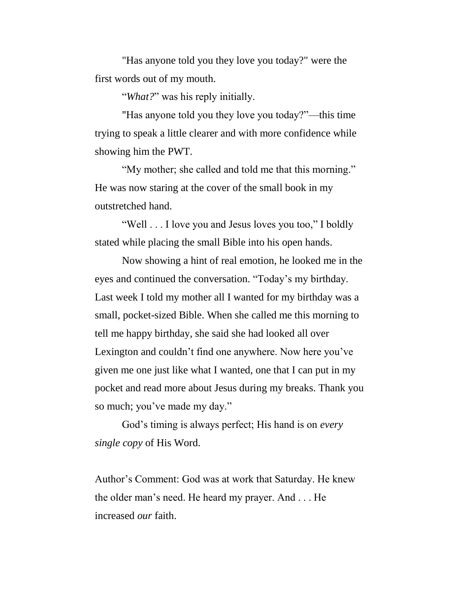"Has anyone told you they love you today?" were the first words out of my mouth.

"*What?*" was his reply initially.

"Has anyone told you they love you today?"—this time trying to speak a little clearer and with more confidence while showing him the PWT.

"My mother; she called and told me that this morning." He was now staring at the cover of the small book in my outstretched hand.

"Well . . . I love you and Jesus loves you too," I boldly stated while placing the small Bible into his open hands.

Now showing a hint of real emotion, he looked me in the eyes and continued the conversation. "Today's my birthday. Last week I told my mother all I wanted for my birthday was a small, pocket-sized Bible. When she called me this morning to tell me happy birthday, she said she had looked all over Lexington and couldn't find one anywhere. Now here you've given me one just like what I wanted, one that I can put in my pocket and read more about Jesus during my breaks. Thank you so much; you've made my day."

God's timing is always perfect; His hand is on *every single copy* of His Word.

Author's Comment: God was at work that Saturday. He knew the older man's need. He heard my prayer. And . . . He increased *our* faith.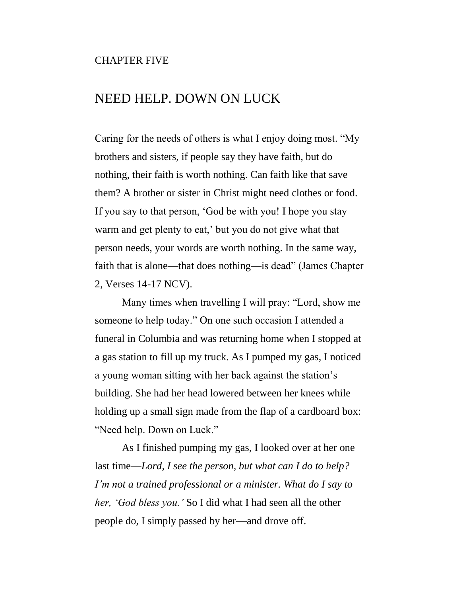#### CHAPTER FIVE

## NEED HELP. DOWN ON LUCK

Caring for the needs of others is what I enjoy doing most. "My brothers and sisters, if people say they have faith, but do nothing, their faith is worth nothing. Can faith like that save them? A brother or sister in Christ might need clothes or food. If you say to that person, 'God be with you! I hope you stay warm and get plenty to eat,' but you do not give what that person needs, your words are worth nothing. In the same way, faith that is alone—that does nothing—is dead" (James Chapter 2, Verses 14-17 NCV).

Many times when travelling I will pray: "Lord, show me someone to help today." On one such occasion I attended a funeral in Columbia and was returning home when I stopped at a gas station to fill up my truck. As I pumped my gas, I noticed a young woman sitting with her back against the station's building. She had her head lowered between her knees while holding up a small sign made from the flap of a cardboard box: "Need help. Down on Luck."

As I finished pumping my gas, I looked over at her one last time—*Lord, I see the person, but what can I do to help? I'm not a trained professional or a minister. What do I say to her, 'God bless you.'* So I did what I had seen all the other people do, I simply passed by her—and drove off.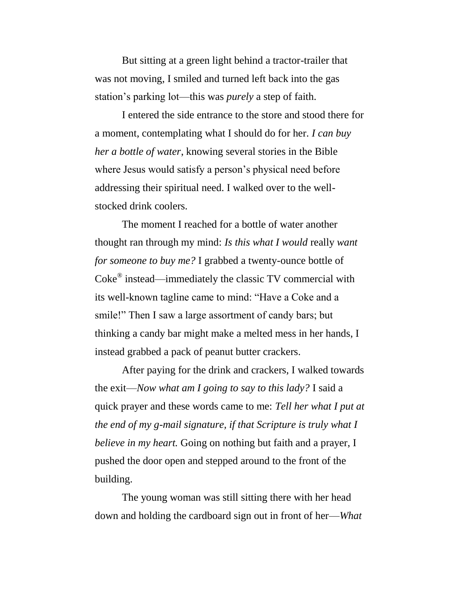But sitting at a green light behind a tractor-trailer that was not moving, I smiled and turned left back into the gas station's parking lot—this was *purely* a step of faith.

I entered the side entrance to the store and stood there for a moment, contemplating what I should do for her. *I can buy her a bottle of water*, knowing several stories in the Bible where Jesus would satisfy a person's physical need before addressing their spiritual need. I walked over to the wellstocked drink coolers.

The moment I reached for a bottle of water another thought ran through my mind: *Is this what I would* really *want for someone to buy me?* I grabbed a twenty-ounce bottle of Coke® instead—immediately the classic TV commercial with its well-known tagline came to mind: "Have a Coke and a smile!" Then I saw a large assortment of candy bars; but thinking a candy bar might make a melted mess in her hands, I instead grabbed a pack of peanut butter crackers.

After paying for the drink and crackers, I walked towards the exit—*Now what am I going to say to this lady?* I said a quick prayer and these words came to me: *Tell her what I put at the end of my g-mail signature, if that Scripture is truly what I believe in my heart.* Going on nothing but faith and a prayer, I pushed the door open and stepped around to the front of the building.

The young woman was still sitting there with her head down and holding the cardboard sign out in front of her—*What*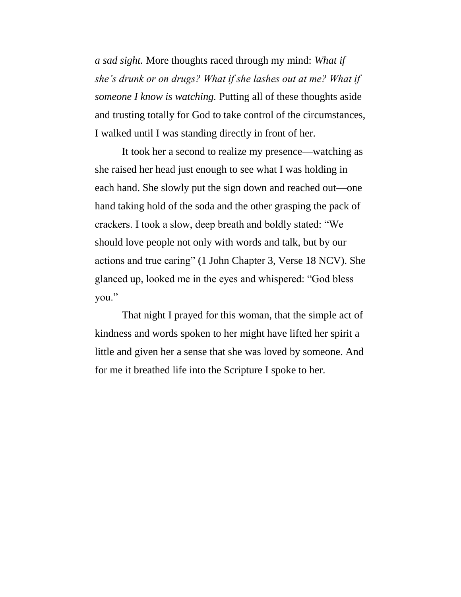*a sad sight.* More thoughts raced through my mind: *What if she's drunk or on drugs? What if she lashes out at me? What if someone I know is watching.* Putting all of these thoughts aside and trusting totally for God to take control of the circumstances, I walked until I was standing directly in front of her.

It took her a second to realize my presence—watching as she raised her head just enough to see what I was holding in each hand. She slowly put the sign down and reached out—one hand taking hold of the soda and the other grasping the pack of crackers. I took a slow, deep breath and boldly stated: "We should love people not only with words and talk, but by our actions and true caring" (1 John Chapter 3, Verse 18 NCV). She glanced up, looked me in the eyes and whispered: "God bless you."

That night I prayed for this woman, that the simple act of kindness and words spoken to her might have lifted her spirit a little and given her a sense that she was loved by someone. And for me it breathed life into the Scripture I spoke to her.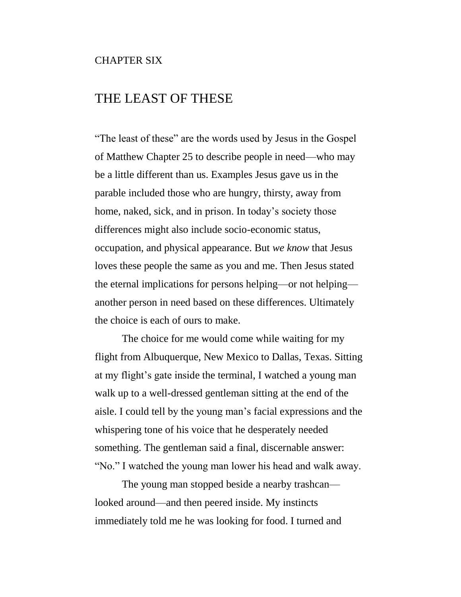#### CHAPTER SIX

## THE LEAST OF THESE

"The least of these" are the words used by Jesus in the Gospel of Matthew Chapter 25 to describe people in need—who may be a little different than us. Examples Jesus gave us in the parable included those who are hungry, thirsty, away from home, naked, sick, and in prison. In today's society those differences might also include socio-economic status, occupation, and physical appearance. But *we know* that Jesus loves these people the same as you and me. Then Jesus stated the eternal implications for persons helping—or not helping another person in need based on these differences. Ultimately the choice is each of ours to make.

The choice for me would come while waiting for my flight from Albuquerque, New Mexico to Dallas, Texas. Sitting at my flight's gate inside the terminal, I watched a young man walk up to a well-dressed gentleman sitting at the end of the aisle. I could tell by the young man's facial expressions and the whispering tone of his voice that he desperately needed something. The gentleman said a final, discernable answer: "No." I watched the young man lower his head and walk away.

The young man stopped beside a nearby trashcan looked around—and then peered inside. My instincts immediately told me he was looking for food. I turned and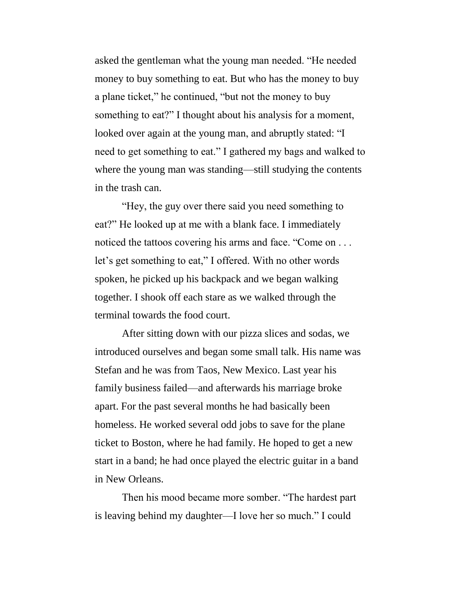asked the gentleman what the young man needed. "He needed money to buy something to eat. But who has the money to buy a plane ticket," he continued, "but not the money to buy something to eat?" I thought about his analysis for a moment, looked over again at the young man, and abruptly stated: "I need to get something to eat." I gathered my bags and walked to where the young man was standing—still studying the contents in the trash can.

"Hey, the guy over there said you need something to eat?" He looked up at me with a blank face. I immediately noticed the tattoos covering his arms and face. "Come on ... let's get something to eat," I offered. With no other words spoken, he picked up his backpack and we began walking together. I shook off each stare as we walked through the terminal towards the food court.

After sitting down with our pizza slices and sodas, we introduced ourselves and began some small talk. His name was Stefan and he was from Taos, New Mexico. Last year his family business failed—and afterwards his marriage broke apart. For the past several months he had basically been homeless. He worked several odd jobs to save for the plane ticket to Boston, where he had family. He hoped to get a new start in a band; he had once played the electric guitar in a band in New Orleans.

Then his mood became more somber. "The hardest part is leaving behind my daughter—I love her so much." I could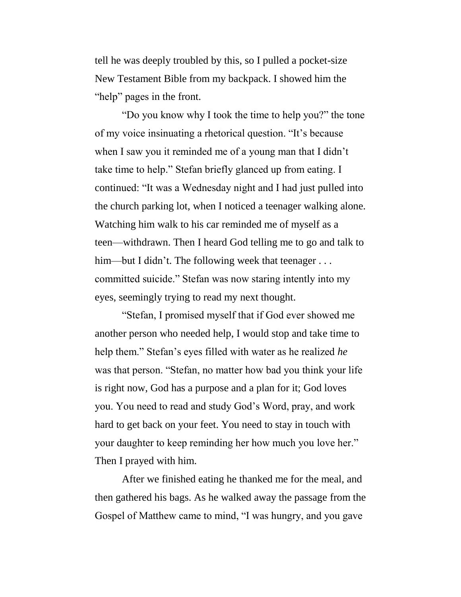tell he was deeply troubled by this, so I pulled a pocket-size New Testament Bible from my backpack. I showed him the "help" pages in the front.

"Do you know why I took the time to help you?" the tone of my voice insinuating a rhetorical question. "It's because when I saw you it reminded me of a young man that I didn't take time to help." Stefan briefly glanced up from eating. I continued: "It was a Wednesday night and I had just pulled into the church parking lot, when I noticed a teenager walking alone. Watching him walk to his car reminded me of myself as a teen—withdrawn. Then I heard God telling me to go and talk to him—but I didn't. The following week that teenager . . . committed suicide." Stefan was now staring intently into my eyes, seemingly trying to read my next thought.

"Stefan, I promised myself that if God ever showed me another person who needed help, I would stop and take time to help them." Stefan's eyes filled with water as he realized *he* was that person. "Stefan, no matter how bad you think your life is right now, God has a purpose and a plan for it; God loves you. You need to read and study God's Word, pray, and work hard to get back on your feet. You need to stay in touch with your daughter to keep reminding her how much you love her." Then I prayed with him.

After we finished eating he thanked me for the meal, and then gathered his bags. As he walked away the passage from the Gospel of Matthew came to mind, "I was hungry, and you gave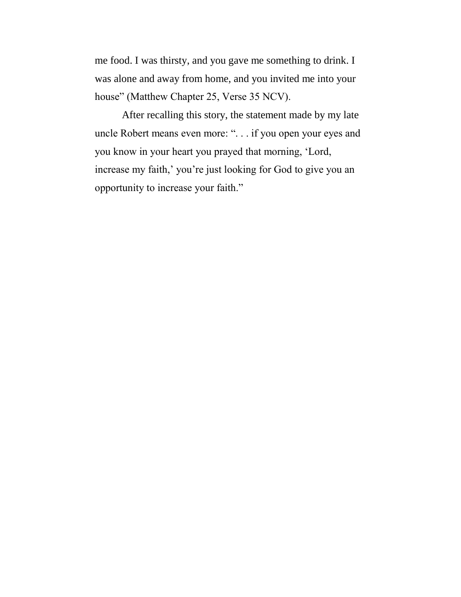me food. I was thirsty, and you gave me something to drink. I was alone and away from home, and you invited me into your house" (Matthew Chapter 25, Verse 35 NCV).

After recalling this story, the statement made by my late uncle Robert means even more: ". . . if you open your eyes and you know in your heart you prayed that morning, 'Lord, increase my faith,' you're just looking for God to give you an opportunity to increase your faith."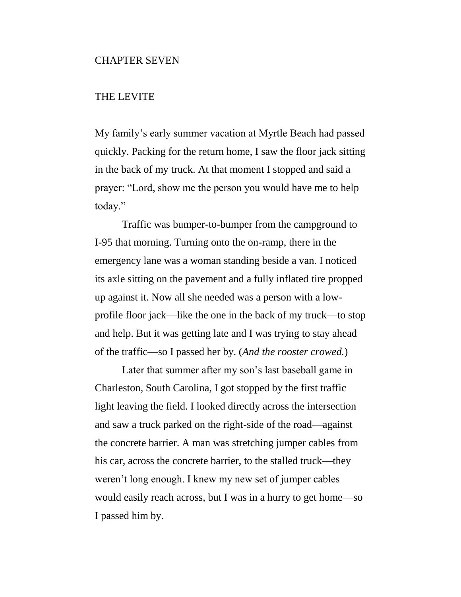#### CHAPTER SEVEN

#### THE LEVITE

My family's early summer vacation at Myrtle Beach had passed quickly. Packing for the return home, I saw the floor jack sitting in the back of my truck. At that moment I stopped and said a prayer: "Lord, show me the person you would have me to help today."

Traffic was bumper-to-bumper from the campground to I-95 that morning. Turning onto the on-ramp, there in the emergency lane was a woman standing beside a van. I noticed its axle sitting on the pavement and a fully inflated tire propped up against it. Now all she needed was a person with a lowprofile floor jack—like the one in the back of my truck—to stop and help. But it was getting late and I was trying to stay ahead of the traffic—so I passed her by. (*And the rooster crowed.*)

Later that summer after my son's last baseball game in Charleston, South Carolina, I got stopped by the first traffic light leaving the field. I looked directly across the intersection and saw a truck parked on the right-side of the road—against the concrete barrier. A man was stretching jumper cables from his car, across the concrete barrier, to the stalled truck—they weren't long enough. I knew my new set of jumper cables would easily reach across, but I was in a hurry to get home—so I passed him by.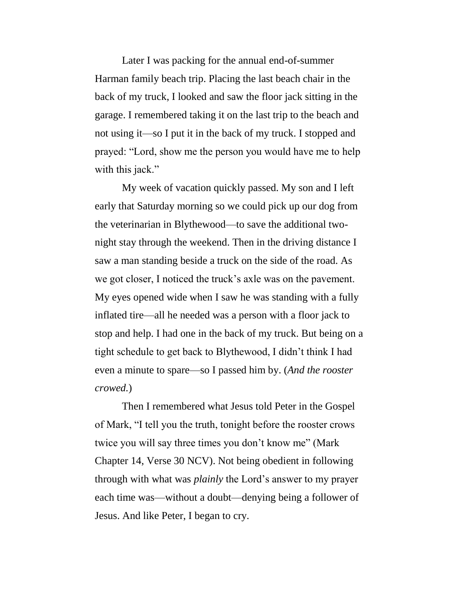Later I was packing for the annual end-of-summer Harman family beach trip. Placing the last beach chair in the back of my truck, I looked and saw the floor jack sitting in the garage. I remembered taking it on the last trip to the beach and not using it—so I put it in the back of my truck. I stopped and prayed: "Lord, show me the person you would have me to help with this jack."

My week of vacation quickly passed. My son and I left early that Saturday morning so we could pick up our dog from the veterinarian in Blythewood—to save the additional twonight stay through the weekend. Then in the driving distance I saw a man standing beside a truck on the side of the road. As we got closer, I noticed the truck's axle was on the pavement. My eyes opened wide when I saw he was standing with a fully inflated tire—all he needed was a person with a floor jack to stop and help. I had one in the back of my truck. But being on a tight schedule to get back to Blythewood, I didn't think I had even a minute to spare—so I passed him by. (*And the rooster crowed.*)

Then I remembered what Jesus told Peter in the Gospel of Mark, "I tell you the truth, tonight before the rooster crows twice you will say three times you don't know me" (Mark Chapter 14, Verse 30 NCV). Not being obedient in following through with what was *plainly* the Lord's answer to my prayer each time was—without a doubt—denying being a follower of Jesus. And like Peter, I began to cry.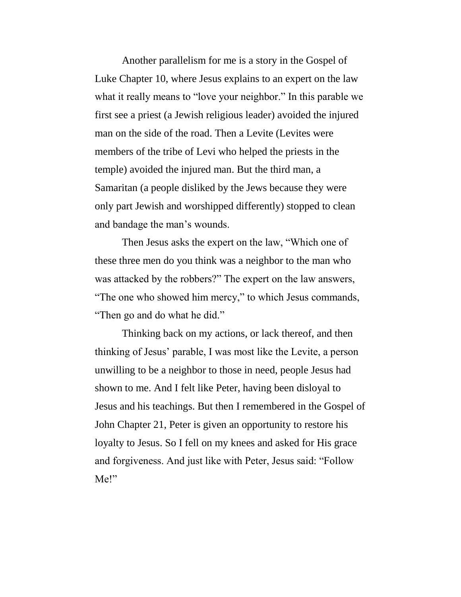Another parallelism for me is a story in the Gospel of Luke Chapter 10, where Jesus explains to an expert on the law what it really means to "love your neighbor." In this parable we first see a priest (a Jewish religious leader) avoided the injured man on the side of the road. Then a Levite (Levites were members of the tribe of Levi who helped the priests in the temple) avoided the injured man. But the third man, a Samaritan (a people disliked by the Jews because they were only part Jewish and worshipped differently) stopped to clean and bandage the man's wounds.

Then Jesus asks the expert on the law, "Which one of these three men do you think was a neighbor to the man who was attacked by the robbers?" The expert on the law answers, "The one who showed him mercy," to which Jesus commands, "Then go and do what he did."

Thinking back on my actions, or lack thereof, and then thinking of Jesus' parable, I was most like the Levite, a person unwilling to be a neighbor to those in need, people Jesus had shown to me. And I felt like Peter, having been disloyal to Jesus and his teachings. But then I remembered in the Gospel of John Chapter 21, Peter is given an opportunity to restore his loyalty to Jesus. So I fell on my knees and asked for His grace and forgiveness. And just like with Peter, Jesus said: "Follow Me!"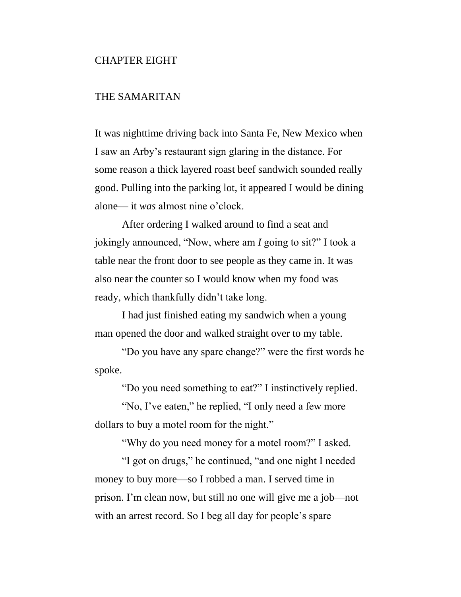#### CHAPTER EIGHT

#### THE SAMARITAN

It was nighttime driving back into Santa Fe, New Mexico when I saw an Arby's restaurant sign glaring in the distance. For some reason a thick layered roast beef sandwich sounded really good. Pulling into the parking lot, it appeared I would be dining alone— it *was* almost nine o'clock.

After ordering I walked around to find a seat and jokingly announced, "Now, where am *I* going to sit?" I took a table near the front door to see people as they came in. It was also near the counter so I would know when my food was ready, which thankfully didn't take long.

I had just finished eating my sandwich when a young man opened the door and walked straight over to my table.

"Do you have any spare change?" were the first words he spoke.

"Do you need something to eat?" I instinctively replied.

"No, I've eaten," he replied, "I only need a few more dollars to buy a motel room for the night."

"Why do you need money for a motel room?" I asked.

"I got on drugs," he continued, "and one night I needed money to buy more—so I robbed a man. I served time in prison. I'm clean now, but still no one will give me a job—not with an arrest record. So I beg all day for people's spare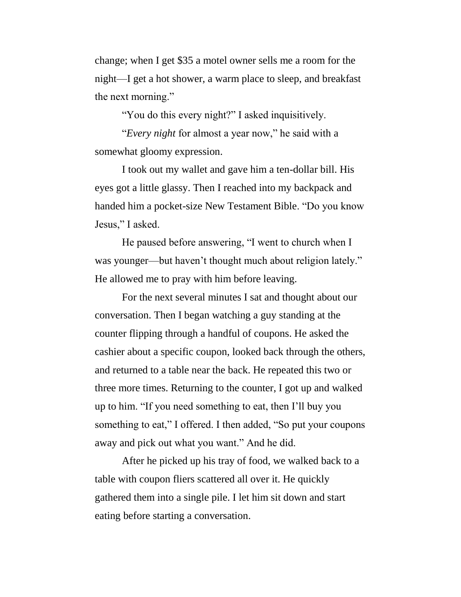change; when I get \$35 a motel owner sells me a room for the night—I get a hot shower, a warm place to sleep, and breakfast the next morning."

"You do this every night?" I asked inquisitively.

"*Every night* for almost a year now," he said with a somewhat gloomy expression.

I took out my wallet and gave him a ten-dollar bill. His eyes got a little glassy. Then I reached into my backpack and handed him a pocket-size New Testament Bible. "Do you know Jesus," I asked.

He paused before answering, "I went to church when I was younger—but haven't thought much about religion lately." He allowed me to pray with him before leaving.

For the next several minutes I sat and thought about our conversation. Then I began watching a guy standing at the counter flipping through a handful of coupons. He asked the cashier about a specific coupon, looked back through the others, and returned to a table near the back. He repeated this two or three more times. Returning to the counter, I got up and walked up to him. "If you need something to eat, then I'll buy you something to eat," I offered. I then added, "So put your coupons away and pick out what you want." And he did.

After he picked up his tray of food, we walked back to a table with coupon fliers scattered all over it. He quickly gathered them into a single pile. I let him sit down and start eating before starting a conversation.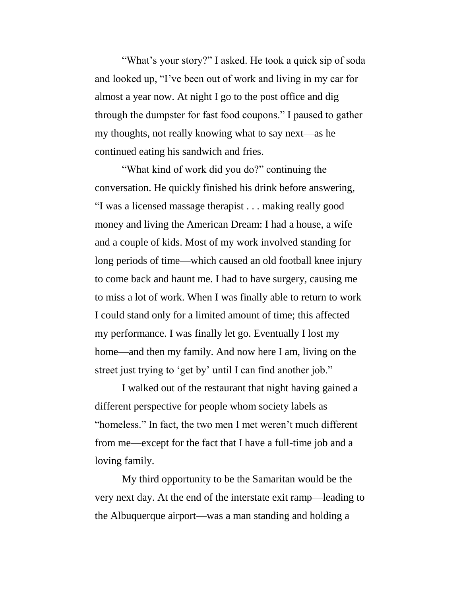"What's your story?" I asked. He took a quick sip of soda and looked up, "I've been out of work and living in my car for almost a year now. At night I go to the post office and dig through the dumpster for fast food coupons." I paused to gather my thoughts, not really knowing what to say next—as he continued eating his sandwich and fries.

"What kind of work did you do?" continuing the conversation. He quickly finished his drink before answering, "I was a licensed massage therapist . . . making really good money and living the American Dream: I had a house, a wife and a couple of kids. Most of my work involved standing for long periods of time—which caused an old football knee injury to come back and haunt me. I had to have surgery, causing me to miss a lot of work. When I was finally able to return to work I could stand only for a limited amount of time; this affected my performance. I was finally let go. Eventually I lost my home—and then my family. And now here I am, living on the street just trying to 'get by' until I can find another job."

I walked out of the restaurant that night having gained a different perspective for people whom society labels as "homeless." In fact, the two men I met weren't much different from me—except for the fact that I have a full-time job and a loving family.

My third opportunity to be the Samaritan would be the very next day. At the end of the interstate exit ramp—leading to the Albuquerque airport—was a man standing and holding a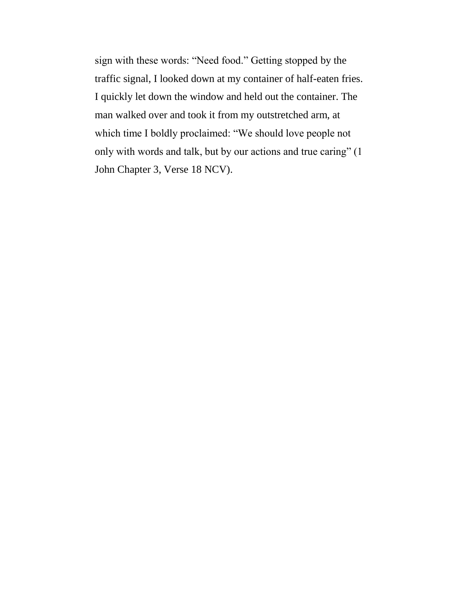sign with these words: "Need food." Getting stopped by the traffic signal, I looked down at my container of half-eaten fries. I quickly let down the window and held out the container. The man walked over and took it from my outstretched arm, at which time I boldly proclaimed: "We should love people not only with words and talk, but by our actions and true caring" (1 John Chapter 3, Verse 18 NCV).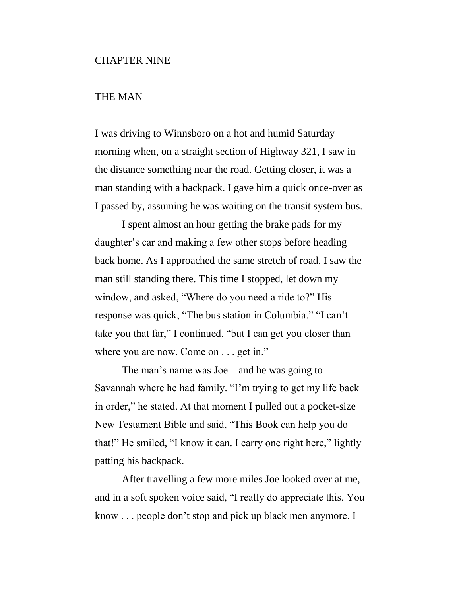# THE MAN

I was driving to Winnsboro on a hot and humid Saturday morning when, on a straight section of Highway 321, I saw in the distance something near the road. Getting closer, it was a man standing with a backpack. I gave him a quick once-over as I passed by, assuming he was waiting on the transit system bus.

I spent almost an hour getting the brake pads for my daughter's car and making a few other stops before heading back home. As I approached the same stretch of road, I saw the man still standing there. This time I stopped, let down my window, and asked, "Where do you need a ride to?" His response was quick, "The bus station in Columbia." "I can't take you that far," I continued, "but I can get you closer than where you are now. Come on . . . get in."

The man's name was Joe—and he was going to Savannah where he had family. "I'm trying to get my life back in order," he stated. At that moment I pulled out a pocket-size New Testament Bible and said, "This Book can help you do that!" He smiled, "I know it can. I carry one right here," lightly patting his backpack.

After travelling a few more miles Joe looked over at me, and in a soft spoken voice said, "I really do appreciate this. You know . . . people don't stop and pick up black men anymore. I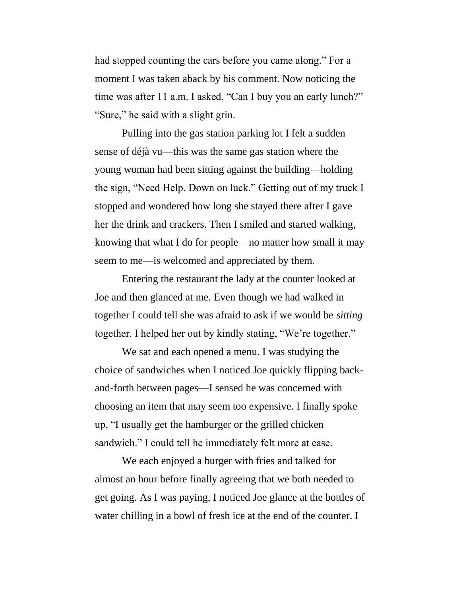had stopped counting the cars before you came along." For a moment I was taken aback by his comment. Now noticing the time was after 11 a.m. I asked, "Can I buy you an early lunch?" "Sure," he said with a slight grin.

Pulling into the gas station parking lot I felt a sudden sense of déjà vu—this was the same gas station where the young woman had been sitting against the building—holding the sign, "Need Help. Down on luck." Getting out of my truck I stopped and wondered how long she stayed there after I gave her the drink and crackers. Then I smiled and started walking, knowing that what I do for people—no matter how small it may seem to me—is welcomed and appreciated by them.

Entering the restaurant the lady at the counter looked at Joe and then glanced at me. Even though we had walked in together I could tell she was afraid to ask if we would be *sitting* together. I helped her out by kindly stating, "We're together."

We sat and each opened a menu. I was studying the choice of sandwiches when I noticed Joe quickly flipping backand-forth between pages—I sensed he was concerned with choosing an item that may seem too expensive. I finally spoke up, "I usually get the hamburger or the grilled chicken sandwich." I could tell he immediately felt more at ease.

We each enjoyed a burger with fries and talked for almost an hour before finally agreeing that we both needed to get going. As I was paying, I noticed Joe glance at the bottles of water chilling in a bowl of fresh ice at the end of the counter. I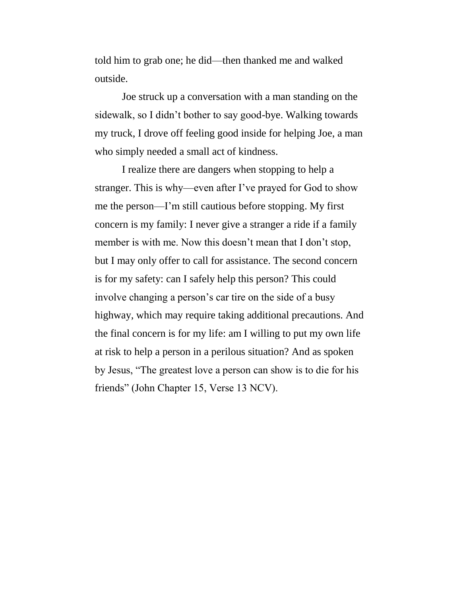told him to grab one; he did—then thanked me and walked outside.

Joe struck up a conversation with a man standing on the sidewalk, so I didn't bother to say good-bye. Walking towards my truck, I drove off feeling good inside for helping Joe, a man who simply needed a small act of kindness.

I realize there are dangers when stopping to help a stranger. This is why—even after I've prayed for God to show me the person—I'm still cautious before stopping. My first concern is my family: I never give a stranger a ride if a family member is with me. Now this doesn't mean that I don't stop, but I may only offer to call for assistance. The second concern is for my safety: can I safely help this person? This could involve changing a person's car tire on the side of a busy highway, which may require taking additional precautions. And the final concern is for my life: am I willing to put my own life at risk to help a person in a perilous situation? And as spoken by Jesus, "The greatest love a person can show is to die for his friends" (John Chapter 15, Verse 13 NCV).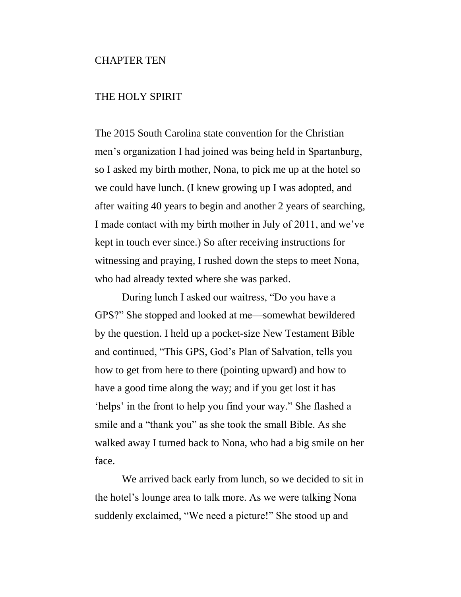## CHAPTER TEN

## THE HOLY SPIRIT

The 2015 South Carolina state convention for the Christian men's organization I had joined was being held in Spartanburg, so I asked my birth mother, Nona, to pick me up at the hotel so we could have lunch. (I knew growing up I was adopted, and after waiting 40 years to begin and another 2 years of searching, I made contact with my birth mother in July of 2011, and we've kept in touch ever since.) So after receiving instructions for witnessing and praying, I rushed down the steps to meet Nona, who had already texted where she was parked.

During lunch I asked our waitress, "Do you have a GPS?" She stopped and looked at me—somewhat bewildered by the question. I held up a pocket-size New Testament Bible and continued, "This GPS, God's Plan of Salvation, tells you how to get from here to there (pointing upward) and how to have a good time along the way; and if you get lost it has 'helps' in the front to help you find your way." She flashed a smile and a "thank you" as she took the small Bible. As she walked away I turned back to Nona, who had a big smile on her face.

We arrived back early from lunch, so we decided to sit in the hotel's lounge area to talk more. As we were talking Nona suddenly exclaimed, "We need a picture!" She stood up and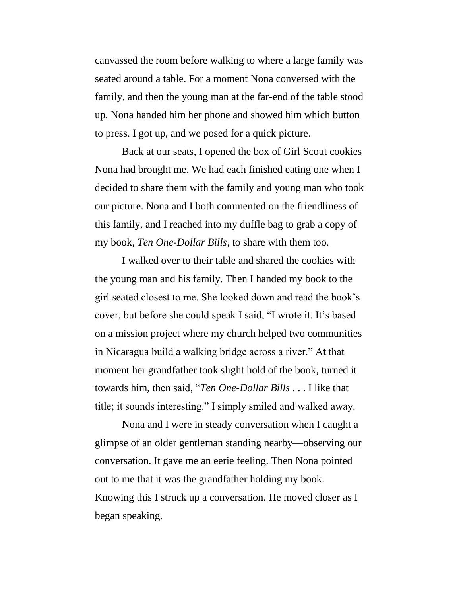canvassed the room before walking to where a large family was seated around a table. For a moment Nona conversed with the family, and then the young man at the far-end of the table stood up. Nona handed him her phone and showed him which button to press. I got up, and we posed for a quick picture.

Back at our seats, I opened the box of Girl Scout cookies Nona had brought me. We had each finished eating one when I decided to share them with the family and young man who took our picture. Nona and I both commented on the friendliness of this family, and I reached into my duffle bag to grab a copy of my book, *Ten One-Dollar Bills*, to share with them too.

I walked over to their table and shared the cookies with the young man and his family. Then I handed my book to the girl seated closest to me. She looked down and read the book's cover, but before she could speak I said, "I wrote it. It's based on a mission project where my church helped two communities in Nicaragua build a walking bridge across a river." At that moment her grandfather took slight hold of the book, turned it towards him, then said, "*Ten One-Dollar Bills* . . . I like that title; it sounds interesting." I simply smiled and walked away.

Nona and I were in steady conversation when I caught a glimpse of an older gentleman standing nearby—observing our conversation. It gave me an eerie feeling. Then Nona pointed out to me that it was the grandfather holding my book. Knowing this I struck up a conversation. He moved closer as I began speaking.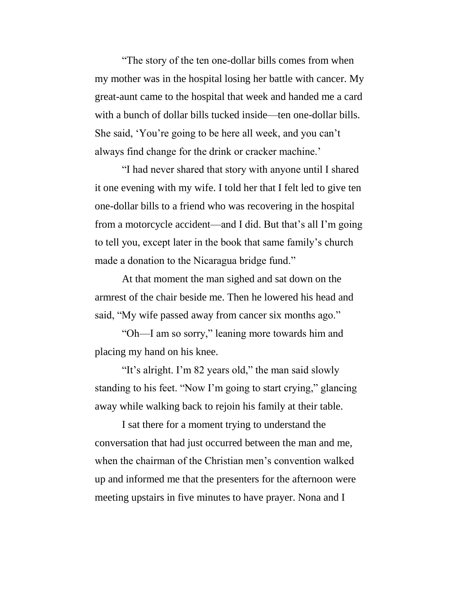"The story of the ten one-dollar bills comes from when my mother was in the hospital losing her battle with cancer. My great-aunt came to the hospital that week and handed me a card with a bunch of dollar bills tucked inside—ten one-dollar bills. She said, 'You're going to be here all week, and you can't always find change for the drink or cracker machine.'

"I had never shared that story with anyone until I shared it one evening with my wife. I told her that I felt led to give ten one-dollar bills to a friend who was recovering in the hospital from a motorcycle accident—and I did. But that's all I'm going to tell you, except later in the book that same family's church made a donation to the Nicaragua bridge fund."

At that moment the man sighed and sat down on the armrest of the chair beside me. Then he lowered his head and said, "My wife passed away from cancer six months ago."

"Oh—I am so sorry," leaning more towards him and placing my hand on his knee.

"It's alright. I'm 82 years old," the man said slowly standing to his feet. "Now I'm going to start crying," glancing away while walking back to rejoin his family at their table.

I sat there for a moment trying to understand the conversation that had just occurred between the man and me, when the chairman of the Christian men's convention walked up and informed me that the presenters for the afternoon were meeting upstairs in five minutes to have prayer. Nona and I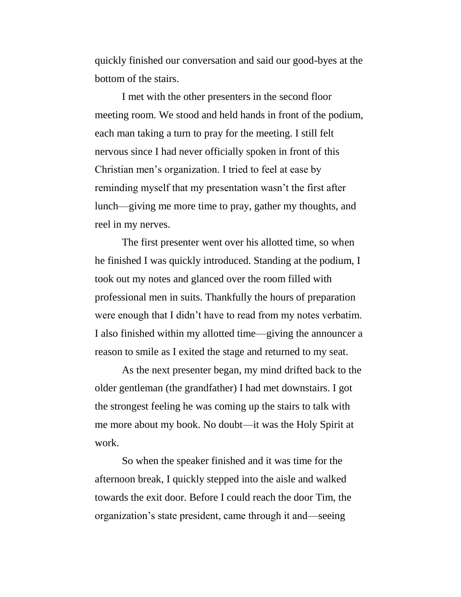quickly finished our conversation and said our good-byes at the bottom of the stairs.

I met with the other presenters in the second floor meeting room. We stood and held hands in front of the podium, each man taking a turn to pray for the meeting. I still felt nervous since I had never officially spoken in front of this Christian men's organization. I tried to feel at ease by reminding myself that my presentation wasn't the first after lunch—giving me more time to pray, gather my thoughts, and reel in my nerves.

The first presenter went over his allotted time, so when he finished I was quickly introduced. Standing at the podium, I took out my notes and glanced over the room filled with professional men in suits. Thankfully the hours of preparation were enough that I didn't have to read from my notes verbatim. I also finished within my allotted time—giving the announcer a reason to smile as I exited the stage and returned to my seat.

As the next presenter began, my mind drifted back to the older gentleman (the grandfather) I had met downstairs. I got the strongest feeling he was coming up the stairs to talk with me more about my book. No doubt—it was the Holy Spirit at work.

So when the speaker finished and it was time for the afternoon break, I quickly stepped into the aisle and walked towards the exit door. Before I could reach the door Tim, the organization's state president, came through it and—seeing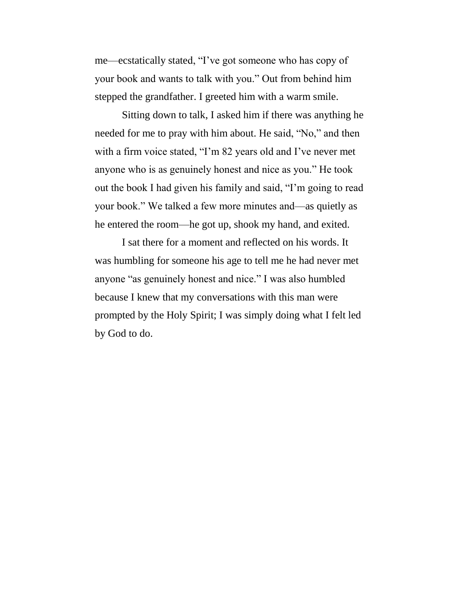me—ecstatically stated, "I've got someone who has copy of your book and wants to talk with you." Out from behind him stepped the grandfather. I greeted him with a warm smile.

Sitting down to talk, I asked him if there was anything he needed for me to pray with him about. He said, "No," and then with a firm voice stated, "I'm 82 years old and I've never met anyone who is as genuinely honest and nice as you." He took out the book I had given his family and said, "I'm going to read your book." We talked a few more minutes and—as quietly as he entered the room—he got up, shook my hand, and exited.

I sat there for a moment and reflected on his words. It was humbling for someone his age to tell me he had never met anyone "as genuinely honest and nice." I was also humbled because I knew that my conversations with this man were prompted by the Holy Spirit; I was simply doing what I felt led by God to do.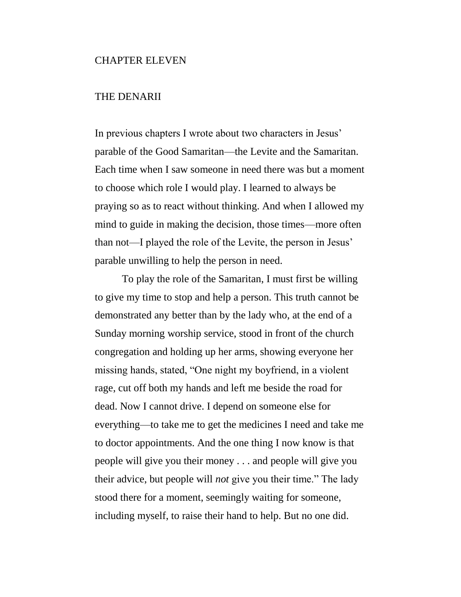## CHAPTER ELEVEN

# THE DENARII

In previous chapters I wrote about two characters in Jesus' parable of the Good Samaritan—the Levite and the Samaritan. Each time when I saw someone in need there was but a moment to choose which role I would play. I learned to always be praying so as to react without thinking. And when I allowed my mind to guide in making the decision, those times—more often than not—I played the role of the Levite, the person in Jesus' parable unwilling to help the person in need.

To play the role of the Samaritan, I must first be willing to give my time to stop and help a person. This truth cannot be demonstrated any better than by the lady who, at the end of a Sunday morning worship service, stood in front of the church congregation and holding up her arms, showing everyone her missing hands, stated, "One night my boyfriend, in a violent rage, cut off both my hands and left me beside the road for dead. Now I cannot drive. I depend on someone else for everything—to take me to get the medicines I need and take me to doctor appointments. And the one thing I now know is that people will give you their money . . . and people will give you their advice, but people will *not* give you their time." The lady stood there for a moment, seemingly waiting for someone, including myself, to raise their hand to help. But no one did.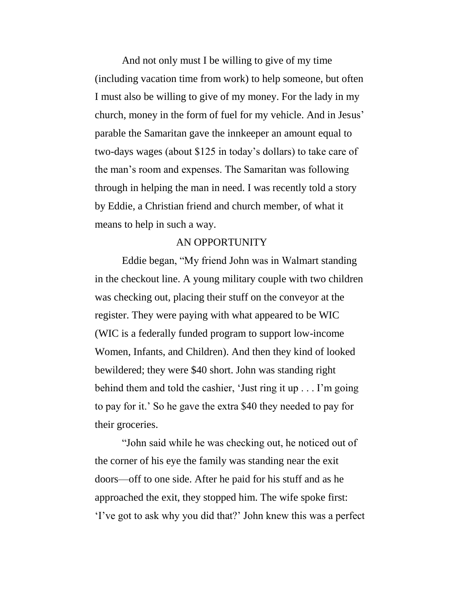And not only must I be willing to give of my time (including vacation time from work) to help someone, but often I must also be willing to give of my money. For the lady in my church, money in the form of fuel for my vehicle. And in Jesus' parable the Samaritan gave the innkeeper an amount equal to two-days wages (about \$125 in today's dollars) to take care of the man's room and expenses. The Samaritan was following through in helping the man in need. I was recently told a story by Eddie, a Christian friend and church member, of what it means to help in such a way.

# AN OPPORTUNITY

Eddie began, "My friend John was in Walmart standing in the checkout line. A young military couple with two children was checking out, placing their stuff on the conveyor at the register. They were paying with what appeared to be WIC (WIC is a federally funded program to support low-income Women, Infants, and Children). And then they kind of looked bewildered; they were \$40 short. John was standing right behind them and told the cashier, 'Just ring it up . . . I'm going to pay for it.' So he gave the extra \$40 they needed to pay for their groceries.

"John said while he was checking out, he noticed out of the corner of his eye the family was standing near the exit doors—off to one side. After he paid for his stuff and as he approached the exit, they stopped him. The wife spoke first: 'I've got to ask why you did that?' John knew this was a perfect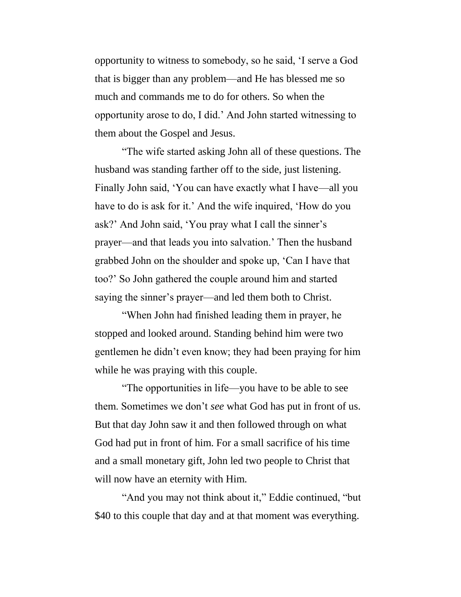opportunity to witness to somebody, so he said, 'I serve a God that is bigger than any problem—and He has blessed me so much and commands me to do for others. So when the opportunity arose to do, I did.' And John started witnessing to them about the Gospel and Jesus.

"The wife started asking John all of these questions. The husband was standing farther off to the side, just listening. Finally John said, 'You can have exactly what I have—all you have to do is ask for it.' And the wife inquired, 'How do you ask?' And John said, 'You pray what I call the sinner's prayer—and that leads you into salvation.' Then the husband grabbed John on the shoulder and spoke up, 'Can I have that too?' So John gathered the couple around him and started saying the sinner's prayer—and led them both to Christ.

"When John had finished leading them in prayer, he stopped and looked around. Standing behind him were two gentlemen he didn't even know; they had been praying for him while he was praying with this couple.

"The opportunities in life—you have to be able to see them. Sometimes we don't *see* what God has put in front of us. But that day John saw it and then followed through on what God had put in front of him. For a small sacrifice of his time and a small monetary gift, John led two people to Christ that will now have an eternity with Him.

"And you may not think about it," Eddie continued, "but \$40 to this couple that day and at that moment was everything.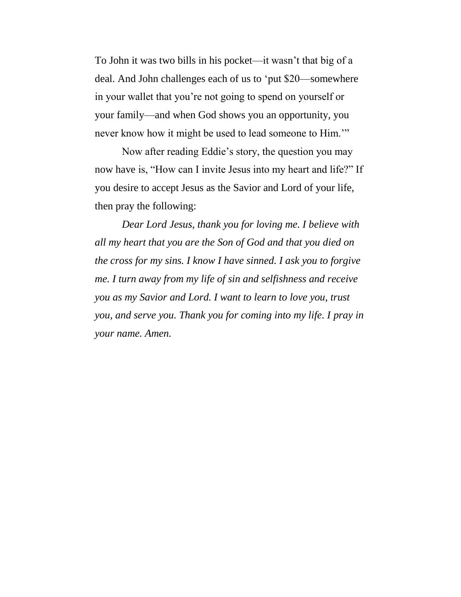To John it was two bills in his pocket—it wasn't that big of a deal. And John challenges each of us to 'put \$20—somewhere in your wallet that you're not going to spend on yourself or your family—and when God shows you an opportunity, you never know how it might be used to lead someone to Him.'"

Now after reading Eddie's story, the question you may now have is, "How can I invite Jesus into my heart and life?" If you desire to accept Jesus as the Savior and Lord of your life, then pray the following:

*Dear Lord Jesus, thank you for loving me. I believe with all my heart that you are the Son of God and that you died on the cross for my sins. I know I have sinned. I ask you to forgive me. I turn away from my life of sin and selfishness and receive you as my Savior and Lord. I want to learn to love you, trust you, and serve you. Thank you for coming into my life. I pray in your name. Amen.*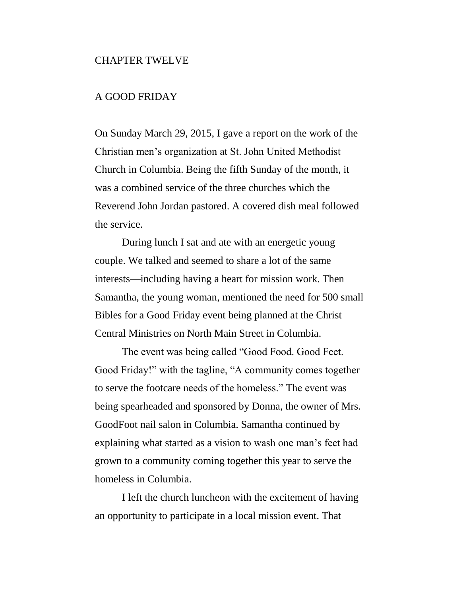## CHAPTER TWELVE

# A GOOD FRIDAY

On Sunday March 29, 2015, I gave a report on the work of the Christian men's organization at St. John United Methodist Church in Columbia. Being the fifth Sunday of the month, it was a combined service of the three churches which the Reverend John Jordan pastored. A covered dish meal followed the service.

During lunch I sat and ate with an energetic young couple. We talked and seemed to share a lot of the same interests—including having a heart for mission work. Then Samantha, the young woman, mentioned the need for 500 small Bibles for a Good Friday event being planned at the Christ Central Ministries on North Main Street in Columbia.

The event was being called "Good Food. Good Feet. Good Friday!" with the tagline, "A community comes together to serve the footcare needs of the homeless." The event was being spearheaded and sponsored by Donna, the owner of Mrs. GoodFoot nail salon in Columbia. Samantha continued by explaining what started as a vision to wash one man's feet had grown to a community coming together this year to serve the homeless in Columbia.

I left the church luncheon with the excitement of having an opportunity to participate in a local mission event. That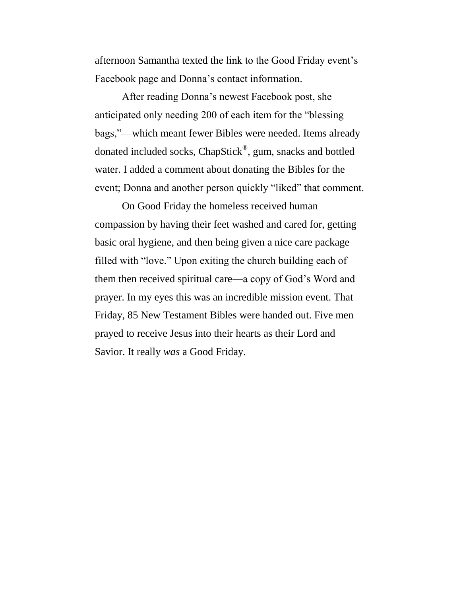afternoon Samantha texted the link to the Good Friday event's Facebook page and Donna's contact information.

After reading Donna's newest Facebook post, she anticipated only needing 200 of each item for the "blessing bags,"—which meant fewer Bibles were needed. Items already donated included socks, ChapStick®, gum, snacks and bottled water. I added a comment about donating the Bibles for the event; Donna and another person quickly "liked" that comment.

On Good Friday the homeless received human compassion by having their feet washed and cared for, getting basic oral hygiene, and then being given a nice care package filled with "love." Upon exiting the church building each of them then received spiritual care—a copy of God's Word and prayer. In my eyes this was an incredible mission event. That Friday, 85 New Testament Bibles were handed out. Five men prayed to receive Jesus into their hearts as their Lord and Savior. It really *was* a Good Friday.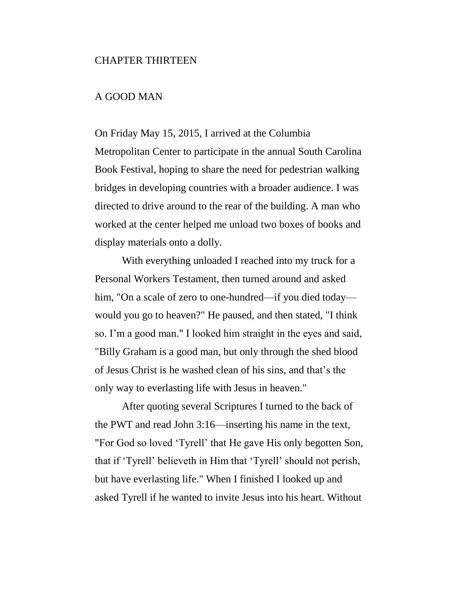### CHAPTER THIRTEEN

# A GOOD MAN

On Friday May 15, 2015, I arrived at the Columbia Metropolitan Center to participate in the annual South Carolina Book Festival, hoping to share the need for pedestrian walking bridges in developing countries with a broader audience. I was directed to drive around to the rear of the building. A man who worked at the center helped me unload two boxes of books and display materials onto a dolly.

With everything unloaded I reached into my truck for a Personal Workers Testament, then turned around and asked him, "On a scale of zero to one-hundred—if you died today would you go to heaven?" He paused, and then stated, "I think so. I'm a good man." I looked him straight in the eyes and said, "Billy Graham is a good man, but only through the shed blood of Jesus Christ is he washed clean of his sins, and that's the only way to everlasting life with Jesus in heaven."

After quoting several Scriptures I turned to the back of the PWT and read John 3:16—inserting his name in the text, "For God so loved 'Tyrell' that He gave His only begotten Son, that if 'Tyrell' believeth in Him that 'Tyrell' should not perish, but have everlasting life." When I finished I looked up and asked Tyrell if he wanted to invite Jesus into his heart. Without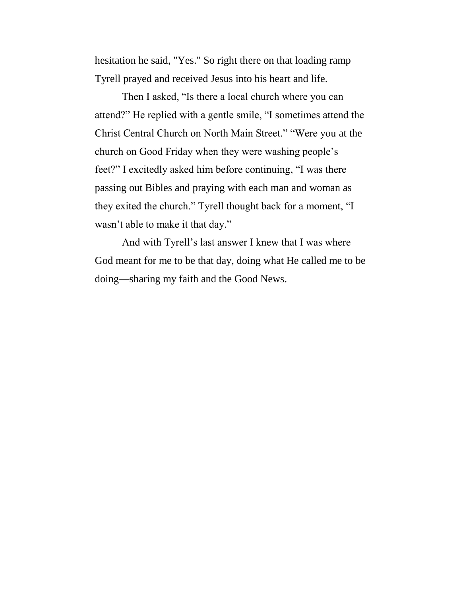hesitation he said, "Yes." So right there on that loading ramp Tyrell prayed and received Jesus into his heart and life.

Then I asked, "Is there a local church where you can attend?" He replied with a gentle smile, "I sometimes attend the Christ Central Church on North Main Street." "Were you at the church on Good Friday when they were washing people's feet?" I excitedly asked him before continuing, "I was there passing out Bibles and praying with each man and woman as they exited the church." Tyrell thought back for a moment, "I wasn't able to make it that day."

And with Tyrell's last answer I knew that I was where God meant for me to be that day, doing what He called me to be doing—sharing my faith and the Good News.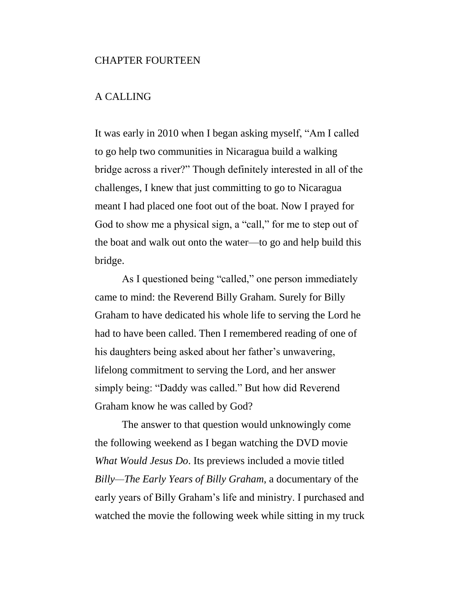## CHAPTER FOURTEEN

# A CALLING

It was early in 2010 when I began asking myself, "Am I called to go help two communities in Nicaragua build a walking bridge across a river?" Though definitely interested in all of the challenges, I knew that just committing to go to Nicaragua meant I had placed one foot out of the boat. Now I prayed for God to show me a physical sign, a "call," for me to step out of the boat and walk out onto the water—to go and help build this bridge.

As I questioned being "called," one person immediately came to mind: the Reverend Billy Graham. Surely for Billy Graham to have dedicated his whole life to serving the Lord he had to have been called. Then I remembered reading of one of his daughters being asked about her father's unwavering, lifelong commitment to serving the Lord, and her answer simply being: "Daddy was called." But how did Reverend Graham know he was called by God?

The answer to that question would unknowingly come the following weekend as I began watching the DVD movie *What Would Jesus Do*. Its previews included a movie titled *Billy—The Early Years of Billy Graham*, a documentary of the early years of Billy Graham's life and ministry. I purchased and watched the movie the following week while sitting in my truck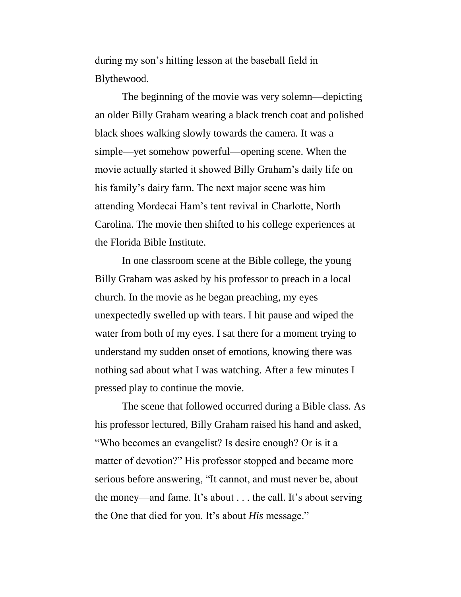during my son's hitting lesson at the baseball field in Blythewood.

The beginning of the movie was very solemn—depicting an older Billy Graham wearing a black trench coat and polished black shoes walking slowly towards the camera. It was a simple—yet somehow powerful—opening scene. When the movie actually started it showed Billy Graham's daily life on his family's dairy farm. The next major scene was him attending Mordecai Ham's tent revival in Charlotte, North Carolina. The movie then shifted to his college experiences at the Florida Bible Institute.

In one classroom scene at the Bible college, the young Billy Graham was asked by his professor to preach in a local church. In the movie as he began preaching, my eyes unexpectedly swelled up with tears. I hit pause and wiped the water from both of my eyes. I sat there for a moment trying to understand my sudden onset of emotions, knowing there was nothing sad about what I was watching. After a few minutes I pressed play to continue the movie.

The scene that followed occurred during a Bible class. As his professor lectured, Billy Graham raised his hand and asked, "Who becomes an evangelist? Is desire enough? Or is it a matter of devotion?" His professor stopped and became more serious before answering, "It cannot, and must never be, about the money—and fame. It's about . . . the call. It's about serving the One that died for you. It's about *His* message."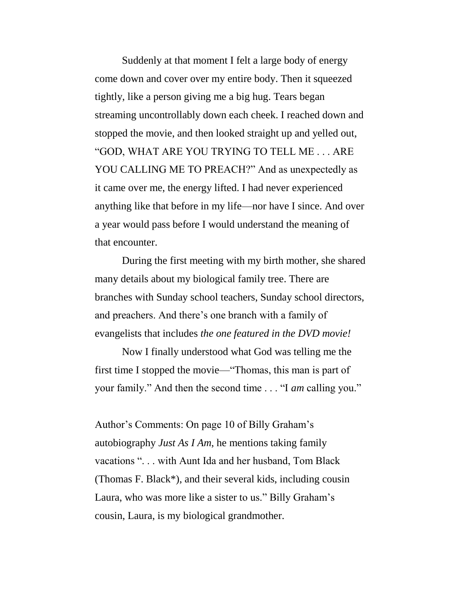Suddenly at that moment I felt a large body of energy come down and cover over my entire body. Then it squeezed tightly, like a person giving me a big hug. Tears began streaming uncontrollably down each cheek. I reached down and stopped the movie, and then looked straight up and yelled out, "GOD, WHAT ARE YOU TRYING TO TELL ME . . . ARE YOU CALLING ME TO PREACH?" And as unexpectedly as it came over me, the energy lifted. I had never experienced anything like that before in my life—nor have I since. And over a year would pass before I would understand the meaning of that encounter.

During the first meeting with my birth mother, she shared many details about my biological family tree. There are branches with Sunday school teachers, Sunday school directors, and preachers. And there's one branch with a family of evangelists that includes *the one featured in the DVD movie!*

Now I finally understood what God was telling me the first time I stopped the movie—"Thomas, this man is part of your family." And then the second time . . . "I *am* calling you."

Author's Comments: On page 10 of Billy Graham's autobiography *Just As I Am*, he mentions taking family vacations ". . . with Aunt Ida and her husband, Tom Black (Thomas F. Black\*), and their several kids, including cousin Laura, who was more like a sister to us." Billy Graham's cousin, Laura, is my biological grandmother.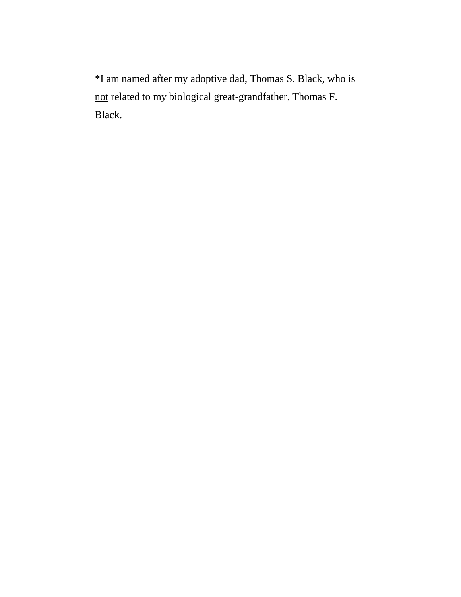\*I am named after my adoptive dad, Thomas S. Black, who is not related to my biological great-grandfather, Thomas F. Black.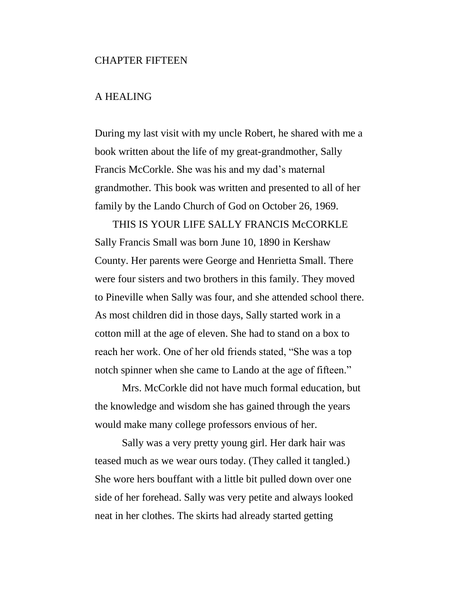#### CHAPTER FIFTEEN

# A HEALING

During my last visit with my uncle Robert, he shared with me a book written about the life of my great-grandmother, Sally Francis McCorkle. She was his and my dad's maternal grandmother. This book was written and presented to all of her family by the Lando Church of God on October 26, 1969.

THIS IS YOUR LIFE SALLY FRANCIS McCORKLE Sally Francis Small was born June 10, 1890 in Kershaw County. Her parents were George and Henrietta Small. There were four sisters and two brothers in this family. They moved to Pineville when Sally was four, and she attended school there. As most children did in those days, Sally started work in a cotton mill at the age of eleven. She had to stand on a box to reach her work. One of her old friends stated, "She was a top notch spinner when she came to Lando at the age of fifteen."

Mrs. McCorkle did not have much formal education, but the knowledge and wisdom she has gained through the years would make many college professors envious of her.

Sally was a very pretty young girl. Her dark hair was teased much as we wear ours today. (They called it tangled.) She wore hers bouffant with a little bit pulled down over one side of her forehead. Sally was very petite and always looked neat in her clothes. The skirts had already started getting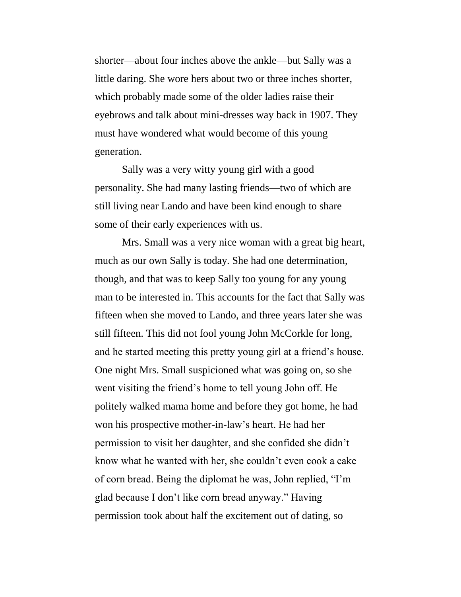shorter—about four inches above the ankle—but Sally was a little daring. She wore hers about two or three inches shorter, which probably made some of the older ladies raise their eyebrows and talk about mini-dresses way back in 1907. They must have wondered what would become of this young generation.

Sally was a very witty young girl with a good personality. She had many lasting friends—two of which are still living near Lando and have been kind enough to share some of their early experiences with us.

Mrs. Small was a very nice woman with a great big heart, much as our own Sally is today. She had one determination, though, and that was to keep Sally too young for any young man to be interested in. This accounts for the fact that Sally was fifteen when she moved to Lando, and three years later she was still fifteen. This did not fool young John McCorkle for long, and he started meeting this pretty young girl at a friend's house. One night Mrs. Small suspicioned what was going on, so she went visiting the friend's home to tell young John off. He politely walked mama home and before they got home, he had won his prospective mother-in-law's heart. He had her permission to visit her daughter, and she confided she didn't know what he wanted with her, she couldn't even cook a cake of corn bread. Being the diplomat he was, John replied, "I'm glad because I don't like corn bread anyway." Having permission took about half the excitement out of dating, so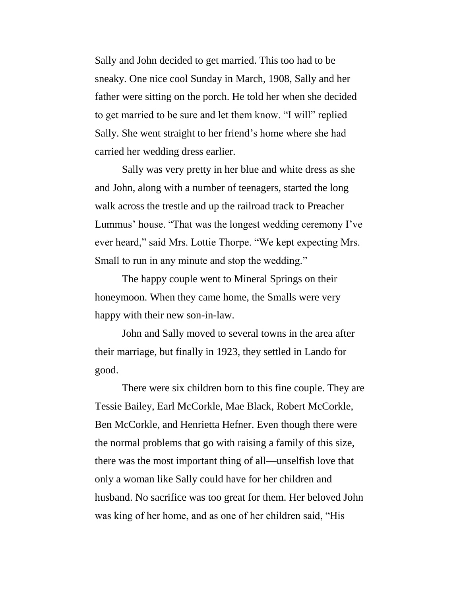Sally and John decided to get married. This too had to be sneaky. One nice cool Sunday in March, 1908, Sally and her father were sitting on the porch. He told her when she decided to get married to be sure and let them know. "I will" replied Sally. She went straight to her friend's home where she had carried her wedding dress earlier.

Sally was very pretty in her blue and white dress as she and John, along with a number of teenagers, started the long walk across the trestle and up the railroad track to Preacher Lummus' house. "That was the longest wedding ceremony I've ever heard," said Mrs. Lottie Thorpe. "We kept expecting Mrs. Small to run in any minute and stop the wedding."

The happy couple went to Mineral Springs on their honeymoon. When they came home, the Smalls were very happy with their new son-in-law.

John and Sally moved to several towns in the area after their marriage, but finally in 1923, they settled in Lando for good.

There were six children born to this fine couple. They are Tessie Bailey, Earl McCorkle, Mae Black, Robert McCorkle, Ben McCorkle, and Henrietta Hefner. Even though there were the normal problems that go with raising a family of this size, there was the most important thing of all—unselfish love that only a woman like Sally could have for her children and husband. No sacrifice was too great for them. Her beloved John was king of her home, and as one of her children said, "His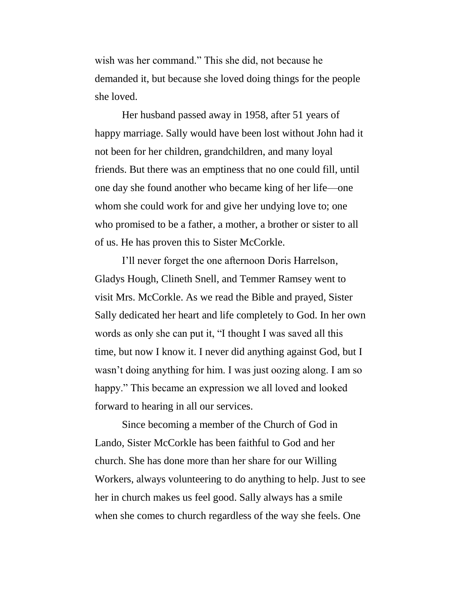wish was her command." This she did, not because he demanded it, but because she loved doing things for the people she loved.

Her husband passed away in 1958, after 51 years of happy marriage. Sally would have been lost without John had it not been for her children, grandchildren, and many loyal friends. But there was an emptiness that no one could fill, until one day she found another who became king of her life—one whom she could work for and give her undying love to; one who promised to be a father, a mother, a brother or sister to all of us. He has proven this to Sister McCorkle.

I'll never forget the one afternoon Doris Harrelson, Gladys Hough, Clineth Snell, and Temmer Ramsey went to visit Mrs. McCorkle. As we read the Bible and prayed, Sister Sally dedicated her heart and life completely to God. In her own words as only she can put it, "I thought I was saved all this time, but now I know it. I never did anything against God, but I wasn't doing anything for him. I was just oozing along. I am so happy." This became an expression we all loved and looked forward to hearing in all our services.

Since becoming a member of the Church of God in Lando, Sister McCorkle has been faithful to God and her church. She has done more than her share for our Willing Workers, always volunteering to do anything to help. Just to see her in church makes us feel good. Sally always has a smile when she comes to church regardless of the way she feels. One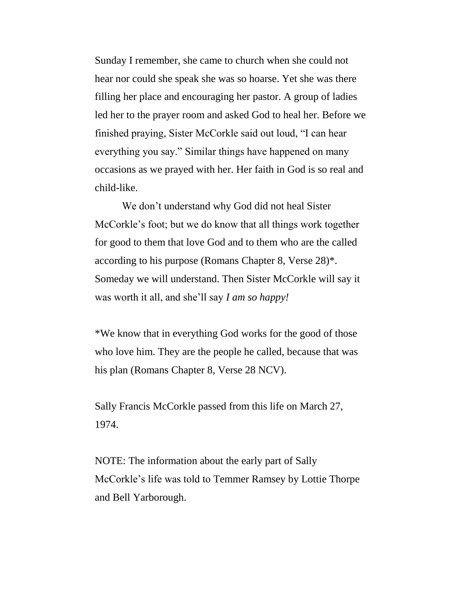Sunday I remember, she came to church when she could not hear nor could she speak she was so hoarse. Yet she was there filling her place and encouraging her pastor. A group of ladies led her to the prayer room and asked God to heal her. Before we finished praying, Sister McCorkle said out loud, "I can hear everything you say." Similar things have happened on many occasions as we prayed with her. Her faith in God is so real and child-like.

We don't understand why God did not heal Sister McCorkle's foot; but we do know that all things work together for good to them that love God and to them who are the called according to his purpose (Romans Chapter 8, Verse 28)\*. Someday we will understand. Then Sister McCorkle will say it was worth it all, and she'll say *I am so happy!*

\*We know that in everything God works for the good of those who love him. They are the people he called, because that was his plan (Romans Chapter 8, Verse 28 NCV).

Sally Francis McCorkle passed from this life on March 27, 1974.

NOTE: The information about the early part of Sally McCorkle's life was told to Temmer Ramsey by Lottie Thorpe and Bell Yarborough.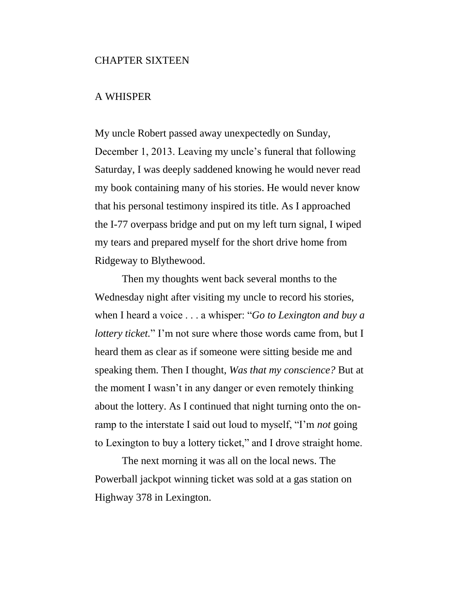## CHAPTER SIXTEEN

# A WHISPER

My uncle Robert passed away unexpectedly on Sunday, December 1, 2013. Leaving my uncle's funeral that following Saturday, I was deeply saddened knowing he would never read my book containing many of his stories. He would never know that his personal testimony inspired its title. As I approached the I-77 overpass bridge and put on my left turn signal, I wiped my tears and prepared myself for the short drive home from Ridgeway to Blythewood.

Then my thoughts went back several months to the Wednesday night after visiting my uncle to record his stories, when I heard a voice . . . a whisper: "*Go to Lexington and buy a lottery ticket.*" I'm not sure where those words came from, but I heard them as clear as if someone were sitting beside me and speaking them. Then I thought, *Was that my conscience?* But at the moment I wasn't in any danger or even remotely thinking about the lottery. As I continued that night turning onto the onramp to the interstate I said out loud to myself, "I'm *not* going to Lexington to buy a lottery ticket," and I drove straight home.

The next morning it was all on the local news. The Powerball jackpot winning ticket was sold at a gas station on Highway 378 in Lexington.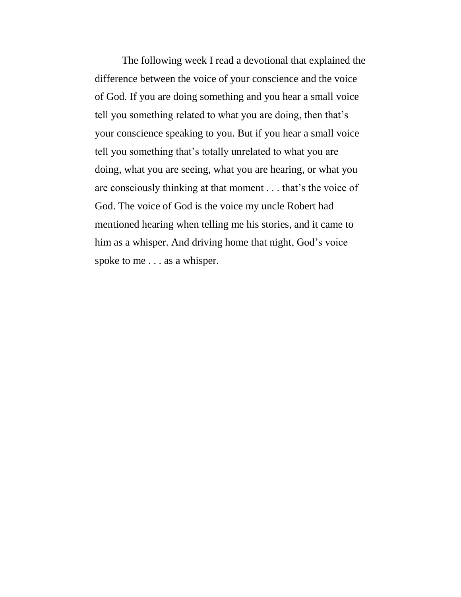The following week I read a devotional that explained the difference between the voice of your conscience and the voice of God. If you are doing something and you hear a small voice tell you something related to what you are doing, then that's your conscience speaking to you. But if you hear a small voice tell you something that's totally unrelated to what you are doing, what you are seeing, what you are hearing, or what you are consciously thinking at that moment . . . that's the voice of God. The voice of God is the voice my uncle Robert had mentioned hearing when telling me his stories, and it came to him as a whisper. And driving home that night, God's voice spoke to me . . . as a whisper.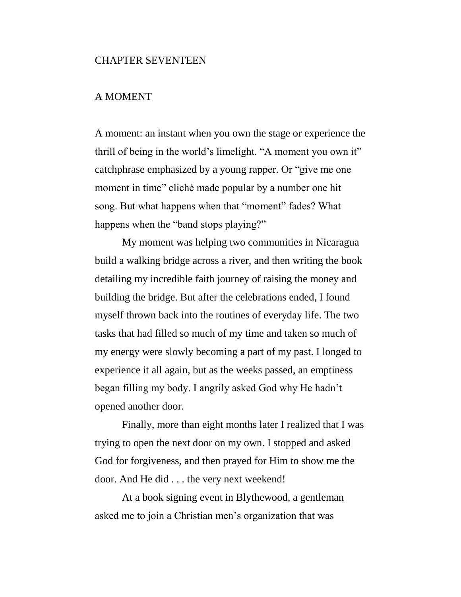## CHAPTER SEVENTEEN

# A MOMENT

A moment: an instant when you own the stage or experience the thrill of being in the world's limelight. "A moment you own it" catchphrase emphasized by a young rapper. Or "give me one moment in time" cliché made popular by a number one hit song. But what happens when that "moment" fades? What happens when the "band stops playing?"

My moment was helping two communities in Nicaragua build a walking bridge across a river, and then writing the book detailing my incredible faith journey of raising the money and building the bridge. But after the celebrations ended, I found myself thrown back into the routines of everyday life. The two tasks that had filled so much of my time and taken so much of my energy were slowly becoming a part of my past. I longed to experience it all again, but as the weeks passed, an emptiness began filling my body. I angrily asked God why He hadn't opened another door.

Finally, more than eight months later I realized that I was trying to open the next door on my own. I stopped and asked God for forgiveness, and then prayed for Him to show me the door. And He did . . . the very next weekend!

At a book signing event in Blythewood, a gentleman asked me to join a Christian men's organization that was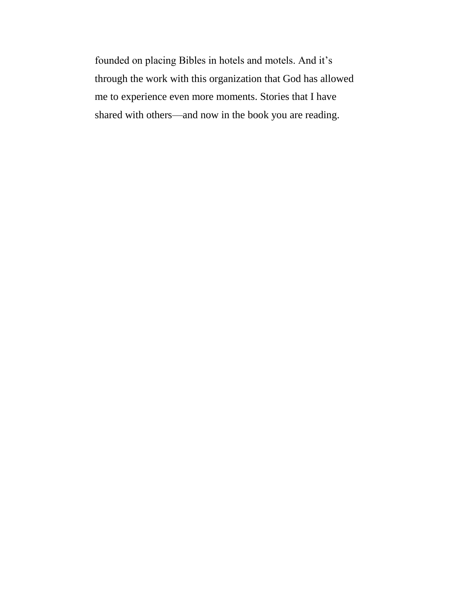founded on placing Bibles in hotels and motels. And it's through the work with this organization that God has allowed me to experience even more moments. Stories that I have shared with others—and now in the book you are reading.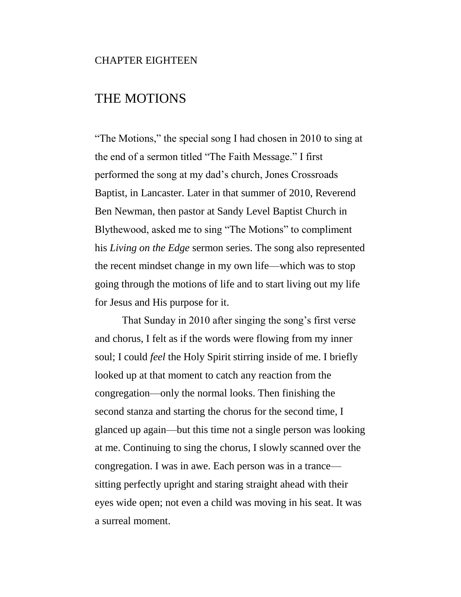## CHAPTER EIGHTEEN

# THE MOTIONS

"The Motions," the special song I had chosen in 2010 to sing at the end of a sermon titled "The Faith Message." I first performed the song at my dad's church, Jones Crossroads Baptist, in Lancaster. Later in that summer of 2010, Reverend Ben Newman, then pastor at Sandy Level Baptist Church in Blythewood, asked me to sing "The Motions" to compliment his *Living on the Edge* sermon series. The song also represented the recent mindset change in my own life—which was to stop going through the motions of life and to start living out my life for Jesus and His purpose for it.

That Sunday in 2010 after singing the song's first verse and chorus, I felt as if the words were flowing from my inner soul; I could *feel* the Holy Spirit stirring inside of me. I briefly looked up at that moment to catch any reaction from the congregation—only the normal looks. Then finishing the second stanza and starting the chorus for the second time, I glanced up again—but this time not a single person was looking at me. Continuing to sing the chorus, I slowly scanned over the congregation. I was in awe. Each person was in a trance sitting perfectly upright and staring straight ahead with their eyes wide open; not even a child was moving in his seat. It was a surreal moment.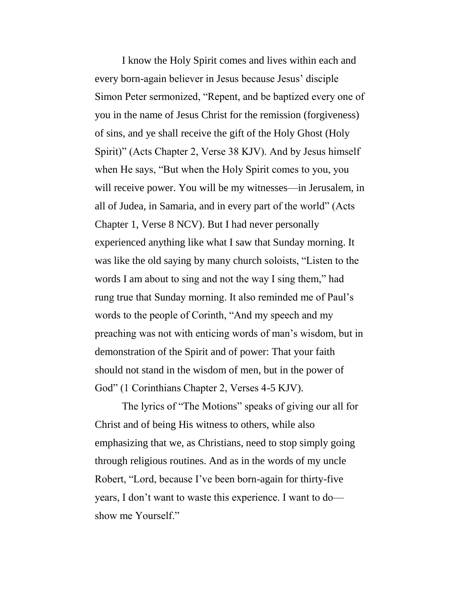I know the Holy Spirit comes and lives within each and every born-again believer in Jesus because Jesus' disciple Simon Peter sermonized, "Repent, and be baptized every one of you in the name of Jesus Christ for the remission (forgiveness) of sins, and ye shall receive the gift of the Holy Ghost (Holy Spirit)" (Acts Chapter 2, Verse 38 KJV). And by Jesus himself when He says, "But when the Holy Spirit comes to you, you will receive power. You will be my witnesses—in Jerusalem, in all of Judea, in Samaria, and in every part of the world" (Acts Chapter 1, Verse 8 NCV). But I had never personally experienced anything like what I saw that Sunday morning. It was like the old saying by many church soloists, "Listen to the words I am about to sing and not the way I sing them," had rung true that Sunday morning. It also reminded me of Paul's words to the people of Corinth, "And my speech and my preaching was not with enticing words of man's wisdom, but in demonstration of the Spirit and of power: That your faith should not stand in the wisdom of men, but in the power of God" (1 Corinthians Chapter 2, Verses 4-5 KJV).

The lyrics of "The Motions" speaks of giving our all for Christ and of being His witness to others, while also emphasizing that we, as Christians, need to stop simply going through religious routines. And as in the words of my uncle Robert, "Lord, because I've been born-again for thirty-five years, I don't want to waste this experience. I want to do show me Yourself."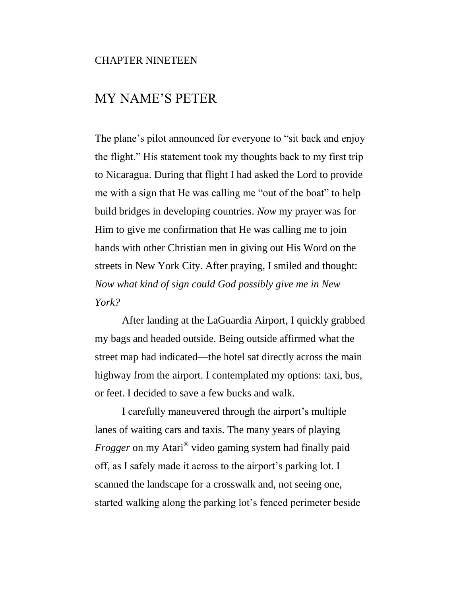## CHAPTER NINETEEN

# MY NAME'S PETER

The plane's pilot announced for everyone to "sit back and enjoy the flight." His statement took my thoughts back to my first trip to Nicaragua. During that flight I had asked the Lord to provide me with a sign that He was calling me "out of the boat" to help build bridges in developing countries. *Now* my prayer was for Him to give me confirmation that He was calling me to join hands with other Christian men in giving out His Word on the streets in New York City. After praying, I smiled and thought: *Now what kind of sign could God possibly give me in New York?*

After landing at the LaGuardia Airport, I quickly grabbed my bags and headed outside. Being outside affirmed what the street map had indicated—the hotel sat directly across the main highway from the airport. I contemplated my options: taxi, bus, or feet. I decided to save a few bucks and walk.

I carefully maneuvered through the airport's multiple lanes of waiting cars and taxis. The many years of playing *Frogger* on my Atari® video gaming system had finally paid off, as I safely made it across to the airport's parking lot. I scanned the landscape for a crosswalk and, not seeing one, started walking along the parking lot's fenced perimeter beside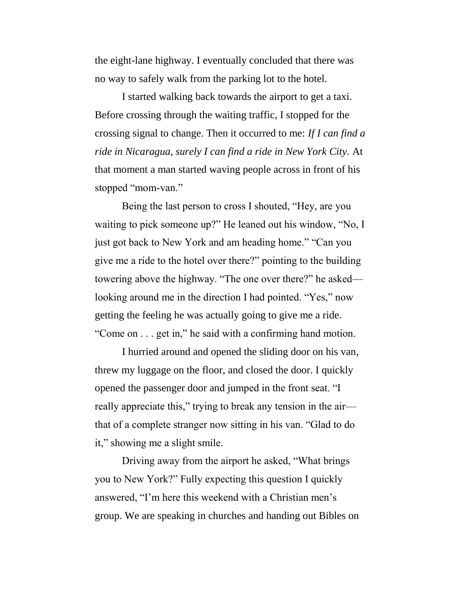the eight-lane highway. I eventually concluded that there was no way to safely walk from the parking lot to the hotel.

I started walking back towards the airport to get a taxi. Before crossing through the waiting traffic, I stopped for the crossing signal to change. Then it occurred to me: *If I can find a ride in Nicaragua, surely I can find a ride in New York City.* At that moment a man started waving people across in front of his stopped "mom-van."

Being the last person to cross I shouted, "Hey, are you waiting to pick someone up?" He leaned out his window, "No, I just got back to New York and am heading home." "Can you give me a ride to the hotel over there?" pointing to the building towering above the highway. "The one over there?" he asked looking around me in the direction I had pointed. "Yes," now getting the feeling he was actually going to give me a ride. "Come on . . . get in," he said with a confirming hand motion.

I hurried around and opened the sliding door on his van, threw my luggage on the floor, and closed the door. I quickly opened the passenger door and jumped in the front seat. "I really appreciate this," trying to break any tension in the air that of a complete stranger now sitting in his van. "Glad to do it," showing me a slight smile.

Driving away from the airport he asked, "What brings you to New York?" Fully expecting this question I quickly answered, "I'm here this weekend with a Christian men's group. We are speaking in churches and handing out Bibles on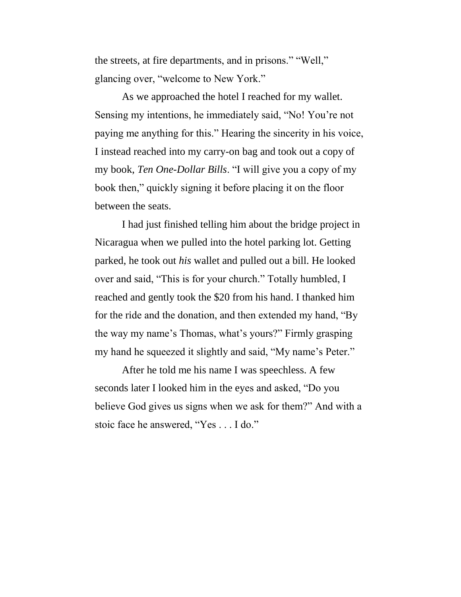the streets, at fire departments, and in prisons." "Well," glancing over, "welcome to New York."

As we approached the hotel I reached for my wallet. Sensing my intentions, he immediately said, "No! You're not paying me anything for this." Hearing the sincerity in his voice, I instead reached into my carry-on bag and took out a copy of my book, *Ten One-Dollar Bills*. "I will give you a copy of my book then," quickly signing it before placing it on the floor between the seats.

I had just finished telling him about the bridge project in Nicaragua when we pulled into the hotel parking lot. Getting parked, he took out *his* wallet and pulled out a bill. He looked over and said, "This is for your church." Totally humbled, I reached and gently took the \$20 from his hand. I thanked him for the ride and the donation, and then extended my hand, "By the way my name's Thomas, what's yours?" Firmly grasping my hand he squeezed it slightly and said, "My name's Peter."

After he told me his name I was speechless. A few seconds later I looked him in the eyes and asked, "Do you believe God gives us signs when we ask for them?" And with a stoic face he answered, "Yes . . . I do."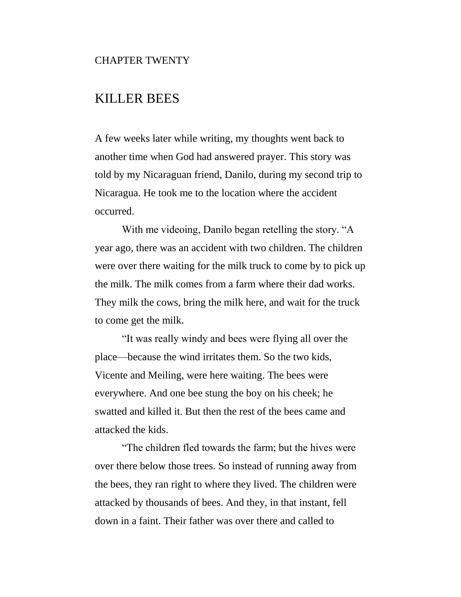#### CHAPTER TWENTY

# KILLER BEES

A few weeks later while writing, my thoughts went back to another time when God had answered prayer. This story was told by my Nicaraguan friend, Danilo, during my second trip to Nicaragua. He took me to the location where the accident occurred.

With me videoing, Danilo began retelling the story. "A year ago, there was an accident with two children. The children were over there waiting for the milk truck to come by to pick up the milk. The milk comes from a farm where their dad works. They milk the cows, bring the milk here, and wait for the truck to come get the milk.

"It was really windy and bees were flying all over the place—because the wind irritates them. So the two kids, Vicente and Meiling, were here waiting. The bees were everywhere. And one bee stung the boy on his cheek; he swatted and killed it. But then the rest of the bees came and attacked the kids.

"The children fled towards the farm; but the hives were over there below those trees. So instead of running away from the bees, they ran right to where they lived. The children were attacked by thousands of bees. And they, in that instant, fell down in a faint. Their father was over there and called to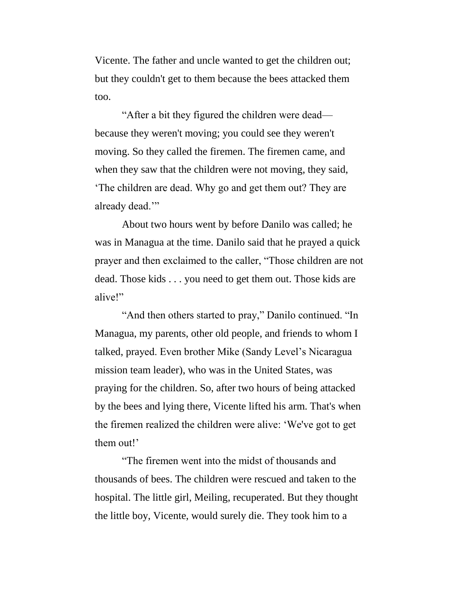Vicente. The father and uncle wanted to get the children out; but they couldn't get to them because the bees attacked them too.

"After a bit they figured the children were dead because they weren't moving; you could see they weren't moving. So they called the firemen. The firemen came, and when they saw that the children were not moving, they said, 'The children are dead. Why go and get them out? They are already dead.'"

About two hours went by before Danilo was called; he was in Managua at the time. Danilo said that he prayed a quick prayer and then exclaimed to the caller, "Those children are not dead. Those kids . . . you need to get them out. Those kids are alive!"

"And then others started to pray," Danilo continued. "In Managua, my parents, other old people, and friends to whom I talked, prayed. Even brother Mike (Sandy Level's Nicaragua mission team leader), who was in the United States, was praying for the children. So, after two hours of being attacked by the bees and lying there, Vicente lifted his arm. That's when the firemen realized the children were alive: 'We've got to get them out!'

"The firemen went into the midst of thousands and thousands of bees. The children were rescued and taken to the hospital. The little girl, Meiling, recuperated. But they thought the little boy, Vicente, would surely die. They took him to a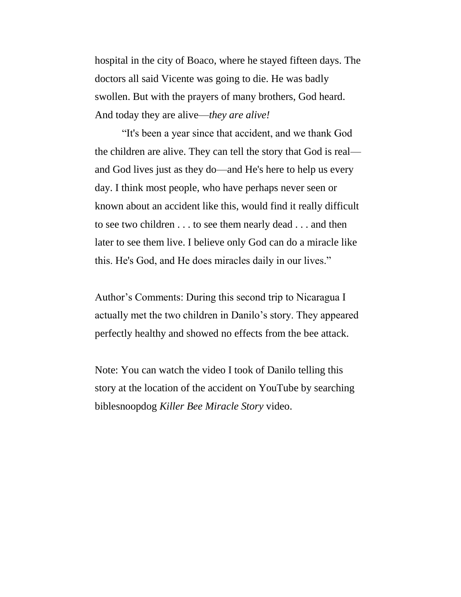hospital in the city of Boaco, where he stayed fifteen days. The doctors all said Vicente was going to die. He was badly swollen. But with the prayers of many brothers, God heard. And today they are alive—*they are alive!*

"It's been a year since that accident, and we thank God the children are alive. They can tell the story that God is real and God lives just as they do—and He's here to help us every day. I think most people, who have perhaps never seen or known about an accident like this, would find it really difficult to see two children . . . to see them nearly dead . . . and then later to see them live. I believe only God can do a miracle like this. He's God, and He does miracles daily in our lives."

Author's Comments: During this second trip to Nicaragua I actually met the two children in Danilo's story. They appeared perfectly healthy and showed no effects from the bee attack.

Note: You can watch the video I took of Danilo telling this story at the location of the accident on YouTube by searching biblesnoopdog *Killer Bee Miracle Story* video.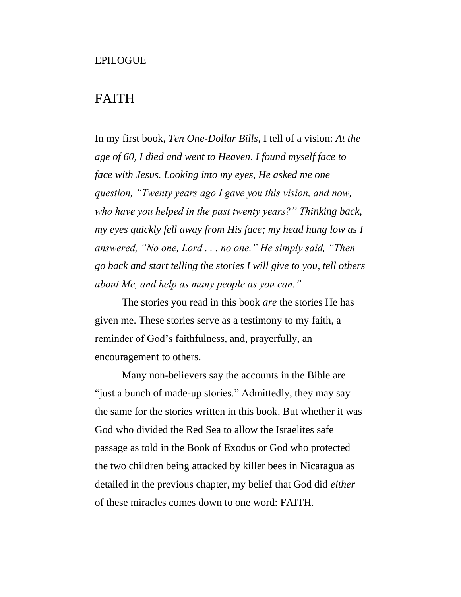# FAITH

In my first book, *Ten One-Dollar Bills*, I tell of a vision: *At the age of 60, I died and went to Heaven. I found myself face to face with Jesus. Looking into my eyes, He asked me one question, "Twenty years ago I gave you this vision, and now, who have you helped in the past twenty years?" Thinking back, my eyes quickly fell away from His face; my head hung low as I answered, "No one, Lord . . . no one." He simply said, "Then go back and start telling the stories I will give to you, tell others about Me, and help as many people as you can."*

The stories you read in this book *are* the stories He has given me. These stories serve as a testimony to my faith, a reminder of God's faithfulness, and, prayerfully, an encouragement to others.

Many non-believers say the accounts in the Bible are "just a bunch of made-up stories." Admittedly, they may say the same for the stories written in this book. But whether it was God who divided the Red Sea to allow the Israelites safe passage as told in the Book of Exodus or God who protected the two children being attacked by killer bees in Nicaragua as detailed in the previous chapter, my belief that God did *either* of these miracles comes down to one word: FAITH.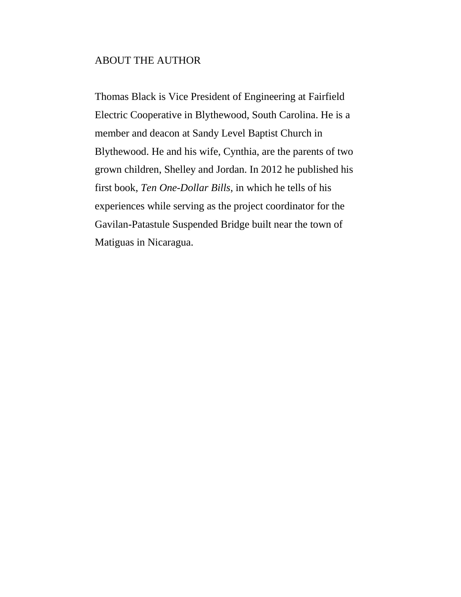### ABOUT THE AUTHOR

Thomas Black is Vice President of Engineering at Fairfield Electric Cooperative in Blythewood, South Carolina. He is a member and deacon at Sandy Level Baptist Church in Blythewood. He and his wife, Cynthia, are the parents of two grown children, Shelley and Jordan. In 2012 he published his first book, *Ten One-Dollar Bills*, in which he tells of his experiences while serving as the project coordinator for the Gavilan-Patastule Suspended Bridge built near the town of Matiguas in Nicaragua.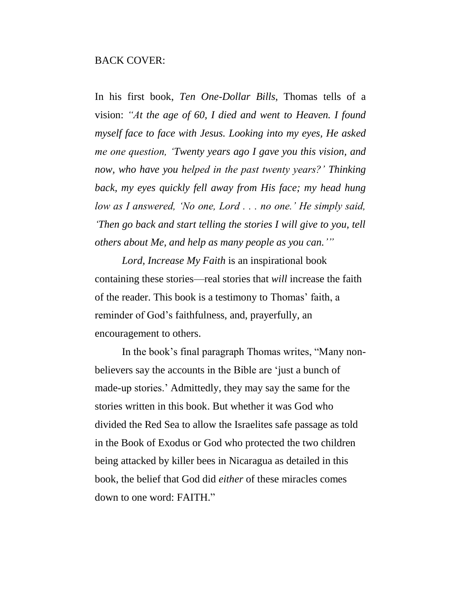### BACK COVER:

In his first book, *Ten One-Dollar Bills*, Thomas tells of a vision: *"At the age of 60, I died and went to Heaven. I found myself face to face with Jesus. Looking into my eyes, He asked me one question, 'Twenty years ago I gave you this vision, and now, who have you helped in the past twenty years?' Thinking back, my eyes quickly fell away from His face; my head hung low as I answered, 'No one, Lord . . . no one.' He simply said, 'Then go back and start telling the stories I will give to you, tell others about Me, and help as many people as you can.'"*

*Lord, Increase My Faith* is an inspirational book containing these stories—real stories that *will* increase the faith of the reader. This book is a testimony to Thomas' faith, a reminder of God's faithfulness, and, prayerfully, an encouragement to others.

In the book's final paragraph Thomas writes, "Many nonbelievers say the accounts in the Bible are 'just a bunch of made-up stories.' Admittedly, they may say the same for the stories written in this book. But whether it was God who divided the Red Sea to allow the Israelites safe passage as told in the Book of Exodus or God who protected the two children being attacked by killer bees in Nicaragua as detailed in this book, the belief that God did *either* of these miracles comes down to one word: FAITH."